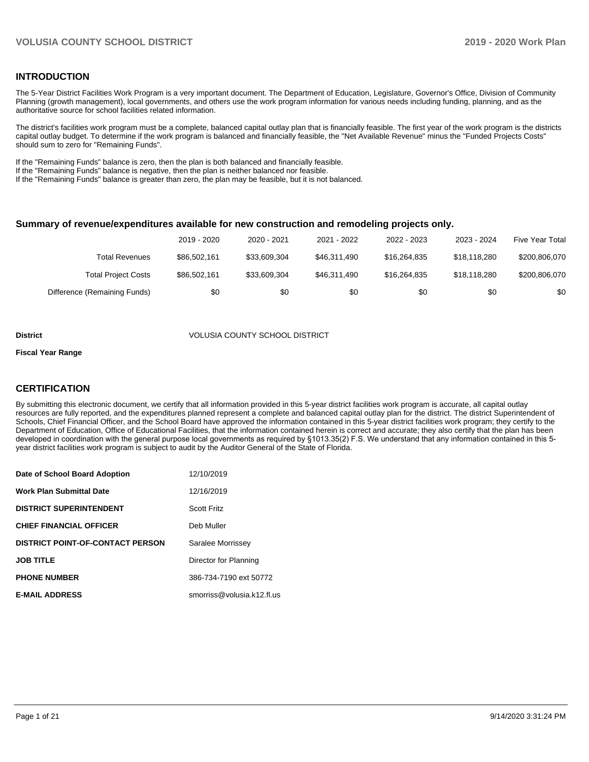#### **INTRODUCTION**

The 5-Year District Facilities Work Program is a very important document. The Department of Education, Legislature, Governor's Office, Division of Community Planning (growth management), local governments, and others use the work program information for various needs including funding, planning, and as the authoritative source for school facilities related information.

The district's facilities work program must be a complete, balanced capital outlay plan that is financially feasible. The first year of the work program is the districts capital outlay budget. To determine if the work program is balanced and financially feasible, the "Net Available Revenue" minus the "Funded Projects Costs" should sum to zero for "Remaining Funds".

If the "Remaining Funds" balance is zero, then the plan is both balanced and financially feasible.

If the "Remaining Funds" balance is negative, then the plan is neither balanced nor feasible.

If the "Remaining Funds" balance is greater than zero, the plan may be feasible, but it is not balanced.

#### **Summary of revenue/expenditures available for new construction and remodeling projects only.**

|                              | 2019 - 2020  | 2020 - 2021  | 2021 - 2022  | 2022 - 2023  | 2023 - 2024  | <b>Five Year Total</b> |
|------------------------------|--------------|--------------|--------------|--------------|--------------|------------------------|
| Total Revenues               | \$86,502,161 | \$33.609.304 | \$46.311.490 | \$16,264,835 | \$18,118,280 | \$200,806,070          |
| <b>Total Project Costs</b>   | \$86,502,161 | \$33,609,304 | \$46.311.490 | \$16,264,835 | \$18,118,280 | \$200,806,070          |
| Difference (Remaining Funds) | \$0          | \$0          | \$0          | \$0          | \$0          | \$0                    |

#### **District** VOLUSIA COUNTY SCHOOL DISTRICT

#### **Fiscal Year Range**

### **CERTIFICATION**

By submitting this electronic document, we certify that all information provided in this 5-year district facilities work program is accurate, all capital outlay resources are fully reported, and the expenditures planned represent a complete and balanced capital outlay plan for the district. The district Superintendent of Schools, Chief Financial Officer, and the School Board have approved the information contained in this 5-year district facilities work program; they certify to the Department of Education, Office of Educational Facilities, that the information contained herein is correct and accurate; they also certify that the plan has been developed in coordination with the general purpose local governments as required by §1013.35(2) F.S. We understand that any information contained in this 5 year district facilities work program is subject to audit by the Auditor General of the State of Florida.

| Date of School Board Adoption           | 12/10/2019                 |
|-----------------------------------------|----------------------------|
| <b>Work Plan Submittal Date</b>         | 12/16/2019                 |
| <b>DISTRICT SUPERINTENDENT</b>          | <b>Scott Fritz</b>         |
| <b>CHIEF FINANCIAL OFFICER</b>          | Deb Muller                 |
| <b>DISTRICT POINT-OF-CONTACT PERSON</b> | Saralee Morrissey          |
| <b>JOB TITLE</b>                        | Director for Planning      |
| <b>PHONE NUMBER</b>                     | 386-734-7190 ext 50772     |
| <b>E-MAIL ADDRESS</b>                   | smorriss@volusia.k12.fl.us |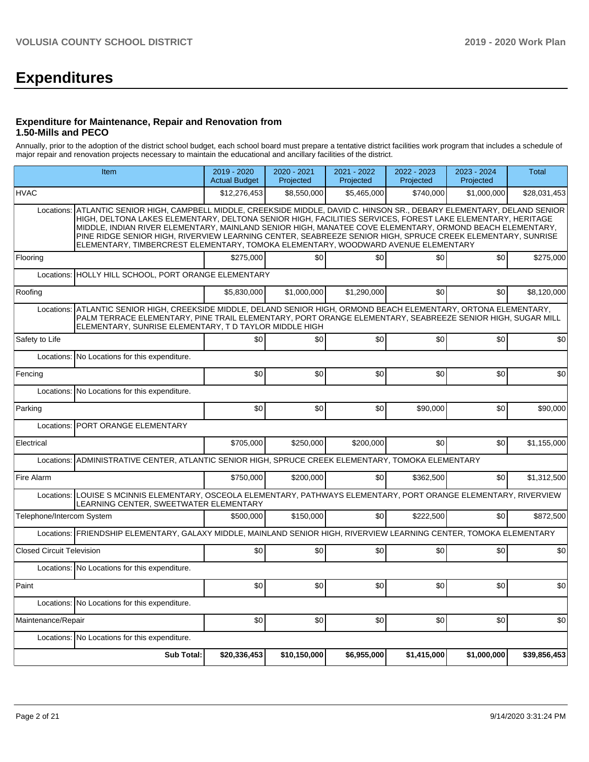# **Expenditures**

#### **Expenditure for Maintenance, Repair and Renovation from 1.50-Mills and PECO**

Annually, prior to the adoption of the district school budget, each school board must prepare a tentative district facilities work program that includes a schedule of major repair and renovation projects necessary to maintain the educational and ancillary facilities of the district.

|                                  | Item                                                                                                                                                                                                                                                                                                                                                                                                                                                                                                                                        |              | 2020 - 2021<br>Projected | 2021 - 2022<br>Projected | 2022 - 2023<br>Projected | 2023 - 2024<br>Projected | <b>Total</b> |  |  |  |
|----------------------------------|---------------------------------------------------------------------------------------------------------------------------------------------------------------------------------------------------------------------------------------------------------------------------------------------------------------------------------------------------------------------------------------------------------------------------------------------------------------------------------------------------------------------------------------------|--------------|--------------------------|--------------------------|--------------------------|--------------------------|--------------|--|--|--|
| <b>HVAC</b>                      |                                                                                                                                                                                                                                                                                                                                                                                                                                                                                                                                             | \$12,276,453 | \$8,550,000              | \$5,465,000              | \$740,000                | \$1,000,000              | \$28,031,453 |  |  |  |
| Locations:                       | ATLANTIC SENIOR HIGH, CAMPBELL MIDDLE, CREEKSIDE MIDDLE, DAVID C. HINSON SR., DEBARY ELEMENTARY, DELAND SENIOR<br>HIGH, DELTONA LAKES ELEMENTARY, DELTONA SENIOR HIGH, FACILITIES SERVICES, FOREST LAKE ELEMENTARY, HERITAGE<br>MIDDLE, INDIAN RIVER ELEMENTARY, MAINLAND SENIOR HIGH, MANATEE COVE ELEMENTARY, ORMOND BEACH ELEMENTARY,<br>PINE RIDGE SENIOR HIGH, RIVERVIEW LEARNING CENTER, SEABREEZE SENIOR HIGH, SPRUCE CREEK ELEMENTARY, SUNRISE<br>ELEMENTARY, TIMBERCREST ELEMENTARY, TOMOKA ELEMENTARY, WOODWARD AVENUE ELEMENTARY |              |                          |                          |                          |                          |              |  |  |  |
| Flooring                         |                                                                                                                                                                                                                                                                                                                                                                                                                                                                                                                                             | \$275.000    | \$0                      | \$0                      | \$0                      | \$0                      | \$275,000    |  |  |  |
| Locations:                       | HOLLY HILL SCHOOL, PORT ORANGE ELEMENTARY                                                                                                                                                                                                                                                                                                                                                                                                                                                                                                   |              |                          |                          |                          |                          |              |  |  |  |
| Roofing                          |                                                                                                                                                                                                                                                                                                                                                                                                                                                                                                                                             | \$5,830,000  | \$1,000,000              | \$1,290,000              | \$0                      | \$0                      | \$8,120,000  |  |  |  |
| Locations:                       | ATLANTIC SENIOR HIGH, CREEKSIDE MIDDLE, DELAND SENIOR HIGH, ORMOND BEACH ELEMENTARY, ORTONA ELEMENTARY,<br>PALM TERRACE ELEMENTARY, PINE TRAIL ELEMENTARY, PORT ORANGE ELEMENTARY, SEABREEZE SENIOR HIGH, SUGAR MILL<br>ELEMENTARY, SUNRISE ELEMENTARY, T D TAYLOR MIDDLE HIGH                                                                                                                                                                                                                                                              |              |                          |                          |                          |                          |              |  |  |  |
| Safety to Life                   |                                                                                                                                                                                                                                                                                                                                                                                                                                                                                                                                             | \$0          | \$0                      | \$0                      | \$0                      | \$0                      | \$0          |  |  |  |
| Locations:                       | No Locations for this expenditure.                                                                                                                                                                                                                                                                                                                                                                                                                                                                                                          |              |                          |                          |                          |                          |              |  |  |  |
| Fencing                          |                                                                                                                                                                                                                                                                                                                                                                                                                                                                                                                                             | \$0          | \$0                      | \$0                      | \$0                      | \$0                      | \$0          |  |  |  |
|                                  | Locations: No Locations for this expenditure.                                                                                                                                                                                                                                                                                                                                                                                                                                                                                               |              |                          |                          |                          |                          |              |  |  |  |
| Parking                          |                                                                                                                                                                                                                                                                                                                                                                                                                                                                                                                                             | \$0          | \$0                      | \$0                      | \$90,000                 | \$0                      | \$90,000     |  |  |  |
|                                  | Locations: PORT ORANGE ELEMENTARY                                                                                                                                                                                                                                                                                                                                                                                                                                                                                                           |              |                          |                          |                          |                          |              |  |  |  |
| Electrical                       |                                                                                                                                                                                                                                                                                                                                                                                                                                                                                                                                             | \$705,000    | \$250,000                | \$200,000                | \$0                      | \$0                      | \$1,155,000  |  |  |  |
|                                  | Locations: ADMINISTRATIVE CENTER, ATLANTIC SENIOR HIGH, SPRUCE CREEK ELEMENTARY, TOMOKA ELEMENTARY                                                                                                                                                                                                                                                                                                                                                                                                                                          |              |                          |                          |                          |                          |              |  |  |  |
| Fire Alarm                       |                                                                                                                                                                                                                                                                                                                                                                                                                                                                                                                                             | \$750.000    | \$200.000                | \$0                      | \$362.500                | \$0                      | \$1,312,500  |  |  |  |
|                                  | Locations: LOUISE S MCINNIS ELEMENTARY, OSCEOLA ELEMENTARY, PATHWAYS ELEMENTARY, PORT ORANGE ELEMENTARY, RIVERVIEW<br>LEARNING CENTER, SWEETWATER ELEMENTARY                                                                                                                                                                                                                                                                                                                                                                                |              |                          |                          |                          |                          |              |  |  |  |
| Telephone/Intercom System        |                                                                                                                                                                                                                                                                                                                                                                                                                                                                                                                                             | \$500,000    | \$150,000                | \$0                      | \$222,500                | \$0                      | \$872,500    |  |  |  |
|                                  | Locations: FRIENDSHIP ELEMENTARY, GALAXY MIDDLE, MAINLAND SENIOR HIGH, RIVERVIEW LEARNING CENTER, TOMOKA ELEMENTARY                                                                                                                                                                                                                                                                                                                                                                                                                         |              |                          |                          |                          |                          |              |  |  |  |
| <b>Closed Circuit Television</b> |                                                                                                                                                                                                                                                                                                                                                                                                                                                                                                                                             | \$0          | \$0                      | \$0                      | \$0                      | \$0                      | \$0          |  |  |  |
|                                  | Locations: No Locations for this expenditure.                                                                                                                                                                                                                                                                                                                                                                                                                                                                                               |              |                          |                          |                          |                          |              |  |  |  |
| Paint                            |                                                                                                                                                                                                                                                                                                                                                                                                                                                                                                                                             | \$0          | \$0                      | \$0                      | \$0                      | \$0                      | \$0          |  |  |  |
|                                  | Locations: No Locations for this expenditure.                                                                                                                                                                                                                                                                                                                                                                                                                                                                                               |              |                          |                          |                          |                          |              |  |  |  |
| Maintenance/Repair               |                                                                                                                                                                                                                                                                                                                                                                                                                                                                                                                                             | \$0          | \$0                      | \$0                      | \$0                      | \$0                      | \$0          |  |  |  |
|                                  | Locations: No Locations for this expenditure.                                                                                                                                                                                                                                                                                                                                                                                                                                                                                               |              |                          |                          |                          |                          |              |  |  |  |
|                                  | <b>Sub Total:</b>                                                                                                                                                                                                                                                                                                                                                                                                                                                                                                                           | \$20,336,453 | \$10,150,000             | \$6,955,000              | \$1,415,000              | \$1,000,000              | \$39,856,453 |  |  |  |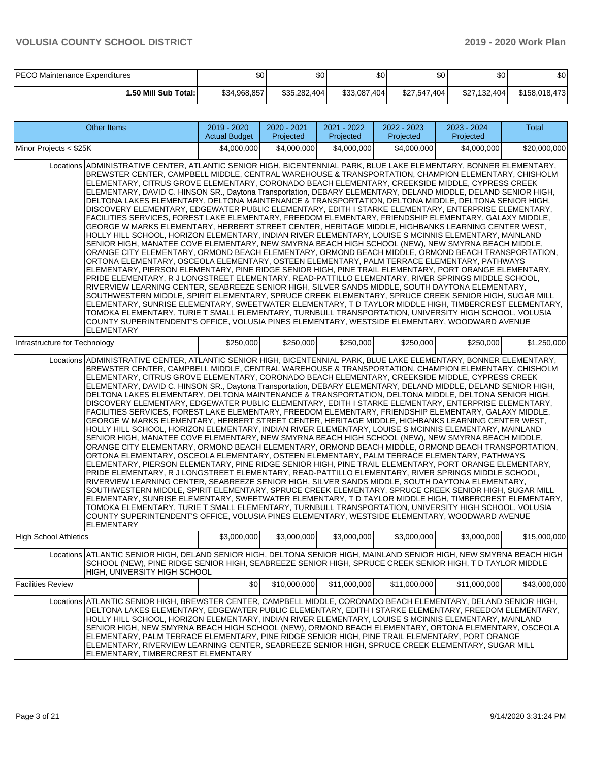| <b>PECO Maintenance Expenditures</b> | ጥ<br>JU'     | \$0          | \$0          | ሶስ<br>ა∪     | ሶስ<br>υU     | \$0           |
|--------------------------------------|--------------|--------------|--------------|--------------|--------------|---------------|
| 1.50 Mill Sub Total: I               | \$34.968.857 | \$35,282,404 | \$33,087,404 | \$27.547.404 | \$27.132.404 | \$158,018,473 |

| <b>Other Items</b>                                                                                                                                                                                                                                                                                                                                                                                                                                                                                                                                                                                                                                                                                                                                                                                                                                                                                                                                                                                                                                                                                                                                                                                                                                                                                                                                                                                                                                                                                                                                                                                                                                                                                                                                                                                                                                                                                                                                                                                                                                                            | 2019 - 2020<br><b>Actual Budget</b> | 2020 - 2021<br>Projected | 2021 - 2022<br>Projected | $2022 - 2023$<br>Projected | 2023 - 2024<br>Projected | Total        |  |  |  |
|-------------------------------------------------------------------------------------------------------------------------------------------------------------------------------------------------------------------------------------------------------------------------------------------------------------------------------------------------------------------------------------------------------------------------------------------------------------------------------------------------------------------------------------------------------------------------------------------------------------------------------------------------------------------------------------------------------------------------------------------------------------------------------------------------------------------------------------------------------------------------------------------------------------------------------------------------------------------------------------------------------------------------------------------------------------------------------------------------------------------------------------------------------------------------------------------------------------------------------------------------------------------------------------------------------------------------------------------------------------------------------------------------------------------------------------------------------------------------------------------------------------------------------------------------------------------------------------------------------------------------------------------------------------------------------------------------------------------------------------------------------------------------------------------------------------------------------------------------------------------------------------------------------------------------------------------------------------------------------------------------------------------------------------------------------------------------------|-------------------------------------|--------------------------|--------------------------|----------------------------|--------------------------|--------------|--|--|--|
| Minor Projects < \$25K                                                                                                                                                                                                                                                                                                                                                                                                                                                                                                                                                                                                                                                                                                                                                                                                                                                                                                                                                                                                                                                                                                                                                                                                                                                                                                                                                                                                                                                                                                                                                                                                                                                                                                                                                                                                                                                                                                                                                                                                                                                        | \$4,000,000                         | \$4,000,000              | \$4,000,000              | \$4,000,000                | \$4,000,000              | \$20,000,000 |  |  |  |
| ADMINISTRATIVE CENTER, ATLANTIC SENIOR HIGH, BICENTENNIAL PARK, BLUE LAKE ELEMENTARY, BONNER ELEMENTARY,<br>Locations<br>BREWSTER CENTER, CAMPBELL MIDDLE, CENTRAL WAREHOUSE & TRANSPORTATION, CHAMPION ELEMENTARY, CHISHOLM<br>ELEMENTARY, CITRUS GROVE ELEMENTARY, CORONADO BEACH ELEMENTARY, CREEKSIDE MIDDLE, CYPRESS CREEK<br>ELEMENTARY, DAVID C. HINSON SR., Daytona Transportation, DEBARY ELEMENTARY, DELAND MIDDLE, DELAND SENIOR HIGH,<br>DELTONA LAKES ELEMENTARY, DELTONA MAINTENANCE & TRANSPORTATION, DELTONA MIDDLE, DELTONA SENIOR HIGH,<br>DISCOVERY ELEMENTARY, EDGEWATER PUBLIC ELEMENTARY, EDITH I STARKE ELEMENTARY, ENTERPRISE ELEMENTARY,<br>FACILITIES SERVICES, FOREST LAKE ELEMENTARY, FREEDOM ELEMENTARY, FRIENDSHIP ELEMENTARY, GALAXY MIDDLE,<br>GEORGE W MARKS ELEMENTARY, HERBERT STREET CENTER, HERITAGE MIDDLE, HIGHBANKS LEARNING CENTER WEST,<br>HOLLY HILL SCHOOL, HORIZON ELEMENTARY, INDIAN RIVER ELEMENTARY, LOUISE S MCINNIS ELEMENTARY, MAINLAND<br>SENIOR HIGH, MANATEE COVE ELEMENTARY, NEW SMYRNA BEACH HIGH SCHOOL (NEW), NEW SMYRNA BEACH MIDDLE,<br>ORANGE CITY ELEMENTARY, ORMOND BEACH ELEMENTARY, ORMOND BEACH MIDDLE, ORMOND BEACH TRANSPORTATION,<br>ORTONA ELEMENTARY, OSCEOLA ELEMENTARY, OSTEEN ELEMENTARY, PALM TERRACE ELEMENTARY, PATHWAYS<br>ELEMENTARY, PIERSON ELEMENTARY, PINE RIDGE SENIOR HIGH, PINE TRAIL ELEMENTARY, PORT ORANGE ELEMENTARY,<br>PRIDE ELEMENTARY, R J LONGSTREET ELEMENTARY, READ-PATTILLO ELEMENTARY, RIVER SPRINGS MIDDLE SCHOOL,<br>RIVERVIEW LEARNING CENTER, SEABREEZE SENIOR HIGH, SILVER SANDS MIDDLE, SOUTH DAYTONA ELEMENTARY,<br>SOUTHWESTERN MIDDLE, SPIRIT ELEMENTARY, SPRUCE CREEK ELEMENTARY, SPRUCE CREEK SENIOR HIGH, SUGAR MILL<br>ELEMENTARY, SUNRISE ELEMENTARY, SWEETWATER ELEMENTARY, T D TAYLOR MIDDLE HIGH, TIMBERCREST ELEMENTARY,<br>TOMOKA ELEMENTARY, TURIE T SMALL ELEMENTARY, TURNBULL TRANSPORTATION, UNIVERSITY HIGH SCHOOL, VOLUSIA<br>COUNTY SUPERINTENDENT'S OFFICE, VOLUSIA PINES ELEMENTARY, WESTSIDE ELEMENTARY, WOODWARD AVENUE<br><b>ELEMENTARY</b> |                                     |                          |                          |                            |                          |              |  |  |  |
| Infrastructure for Technology                                                                                                                                                                                                                                                                                                                                                                                                                                                                                                                                                                                                                                                                                                                                                                                                                                                                                                                                                                                                                                                                                                                                                                                                                                                                                                                                                                                                                                                                                                                                                                                                                                                                                                                                                                                                                                                                                                                                                                                                                                                 | \$250,000                           | \$250,000                | \$250,000                | \$250,000                  | \$250,000                | \$1,250,000  |  |  |  |
| Locations ADMINISTRATIVE CENTER, ATLANTIC SENIOR HIGH, BICENTENNIAL PARK, BLUE LAKE ELEMENTARY, BONNER ELEMENTARY,<br>BREWSTER CENTER, CAMPBELL MIDDLE, CENTRAL WAREHOUSE & TRANSPORTATION, CHAMPION ELEMENTARY, CHISHOLM<br>ELEMENTARY, CITRUS GROVE ELEMENTARY, CORONADO BEACH ELEMENTARY, CREEKSIDE MIDDLE, CYPRESS CREEK<br>ELEMENTARY, DAVID C. HINSON SR., Daytona Transportation, DEBARY ELEMENTARY, DELAND MIDDLE, DELAND SENIOR HIGH,<br>DELTONA LAKES ELEMENTARY, DELTONA MAINTENANCE & TRANSPORTATION, DELTONA MIDDLE, DELTONA SENIOR HIGH,<br>DISCOVERY ELEMENTARY, EDGEWATER PUBLIC ELEMENTARY, EDITH I STARKE ELEMENTARY, ENTERPRISE ELEMENTARY,<br>FACILITIES SERVICES, FOREST LAKE ELEMENTARY, FREEDOM ELEMENTARY, FRIENDSHIP ELEMENTARY, GALAXY MIDDLE,<br>GEORGE W MARKS ELEMENTARY, HERBERT STREET CENTER, HERITAGE MIDDLE, HIGHBANKS LEARNING CENTER WEST,<br>HOLLY HILL SCHOOL, HORIZON ELEMENTARY, INDIAN RIVER ELEMENTARY, LOUISE S MCINNIS ELEMENTARY, MAINLAND<br>SENIOR HIGH, MANATEE COVE ELEMENTARY, NEW SMYRNA BEACH HIGH SCHOOL (NEW), NEW SMYRNA BEACH MIDDLE,<br>ORANGE CITY ELEMENTARY, ORMOND BEACH ELEMENTARY, ORMOND BEACH MIDDLE, ORMOND BEACH TRANSPORTATION,<br>ORTONA ELEMENTARY, OSCEOLA ELEMENTARY, OSTEEN ELEMENTARY, PALM TERRACE ELEMENTARY, PATHWAYS<br>ELEMENTARY, PIERSON ELEMENTARY, PINE RIDGE SENIOR HIGH, PINE TRAIL ELEMENTARY, PORT ORANGE ELEMENTARY,<br>PRIDE ELEMENTARY, R J LONGSTREET ELEMENTARY, READ-PATTILLO ELEMENTARY, RIVER SPRINGS MIDDLE SCHOOL,<br>RIVERVIEW LEARNING CENTER, SEABREEZE SENIOR HIGH, SILVER SANDS MIDDLE, SOUTH DAYTONA ELEMENTARY,<br>SOUTHWESTERN MIDDLE, SPIRIT ELEMENTARY, SPRUCE CREEK ELEMENTARY, SPRUCE CREEK SENIOR HIGH, SUGAR MILL<br>ELEMENTARY, SUNRISE ELEMENTARY, SWEETWATER ELEMENTARY, T D TAYLOR MIDDLE HIGH, TIMBERCREST ELEMENTARY,<br>TOMOKA ELEMENTARY, TURIE T SMALL ELEMENTARY, TURNBULL TRANSPORTATION, UNIVERSITY HIGH SCHOOL, VOLUSIA<br>COUNTY SUPERINTENDENT'S OFFICE, VOLUSIA PINES ELEMENTARY, WESTSIDE ELEMENTARY, WOODWARD AVENUE<br><b>ELEMENTARY</b>    |                                     |                          |                          |                            |                          |              |  |  |  |
| <b>High School Athletics</b>                                                                                                                                                                                                                                                                                                                                                                                                                                                                                                                                                                                                                                                                                                                                                                                                                                                                                                                                                                                                                                                                                                                                                                                                                                                                                                                                                                                                                                                                                                                                                                                                                                                                                                                                                                                                                                                                                                                                                                                                                                                  | \$3,000,000                         | \$3,000,000              | \$3,000,000              | \$3,000,000                | \$3,000,000              | \$15,000,000 |  |  |  |
| Locations ATLANTIC SENIOR HIGH, DELAND SENIOR HIGH, DELTONA SENIOR HIGH, MAINLAND SENIOR HIGH, NEW SMYRNA BEACH HIGH<br>SCHOOL (NEW), PINE RIDGE SENIOR HIGH, SEABREEZE SENIOR HIGH, SPRUCE CREEK SENIOR HIGH, T D TAYLOR MIDDLE<br>HIGH. UNIVERSITY HIGH SCHOOL                                                                                                                                                                                                                                                                                                                                                                                                                                                                                                                                                                                                                                                                                                                                                                                                                                                                                                                                                                                                                                                                                                                                                                                                                                                                                                                                                                                                                                                                                                                                                                                                                                                                                                                                                                                                              |                                     |                          |                          |                            |                          |              |  |  |  |
| <b>Facilities Review</b>                                                                                                                                                                                                                                                                                                                                                                                                                                                                                                                                                                                                                                                                                                                                                                                                                                                                                                                                                                                                                                                                                                                                                                                                                                                                                                                                                                                                                                                                                                                                                                                                                                                                                                                                                                                                                                                                                                                                                                                                                                                      | \$0                                 | \$10,000,000             | \$11,000,000             | \$11,000,000               | \$11,000,000             | \$43,000,000 |  |  |  |
| Locations ATLANTIC SENIOR HIGH, BREWSTER CENTER, CAMPBELL MIDDLE, CORONADO BEACH ELEMENTARY, DELAND SENIOR HIGH,<br>DELTONA LAKES ELEMENTARY, EDGEWATER PUBLIC ELEMENTARY, EDITH I STARKE ELEMENTARY, FREEDOM ELEMENTARY,<br>HOLLY HILL SCHOOL, HORIZON ELEMENTARY, INDIAN RIVER ELEMENTARY, LOUISE S MCINNIS ELEMENTARY, MAINLAND<br>SENIOR HIGH, NEW SMYRNA BEACH HIGH SCHOOL (NEW), ORMOND BEACH ELEMENTARY, ORTONA ELEMENTARY, OSCEOLA<br>ELEMENTARY, PALM TERRACE ELEMENTARY, PINE RIDGE SENIOR HIGH, PINE TRAIL ELEMENTARY, PORT ORANGE<br>ELEMENTARY, RIVERVIEW LEARNING CENTER, SEABREEZE SENIOR HIGH, SPRUCE CREEK ELEMENTARY, SUGAR MILL<br>ELEMENTARY, TIMBERCREST ELEMENTARY                                                                                                                                                                                                                                                                                                                                                                                                                                                                                                                                                                                                                                                                                                                                                                                                                                                                                                                                                                                                                                                                                                                                                                                                                                                                                                                                                                                      |                                     |                          |                          |                            |                          |              |  |  |  |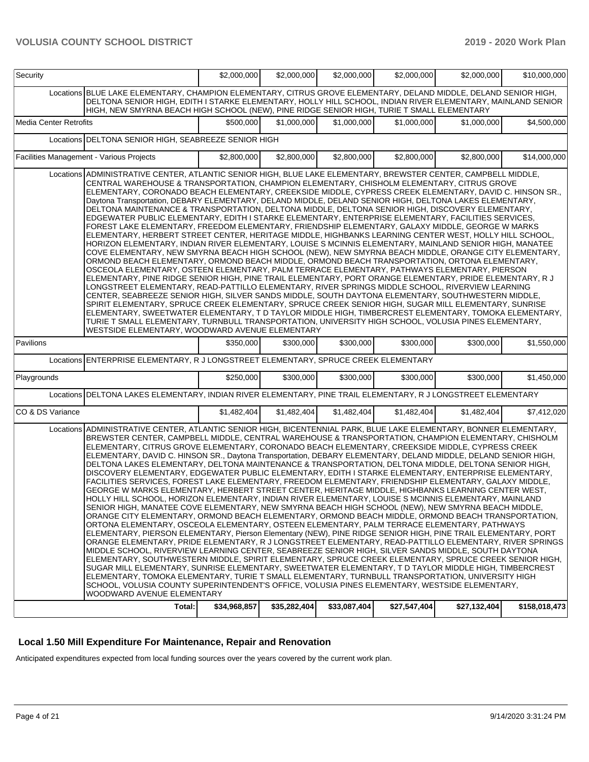| Security                      |                                                                                                                                                                                                                                                                                                                                                                                                                                                                                                                                                                                                                                                                                                                                                                                                                                                                                                                                                                                                                                                                                                                                                                                                                                                                                                                                                                                                                                                                                                                                                                                                                                                                                                                                                                                                                                                                                                                                                                                                                                                                                               | \$2,000,000  | \$2,000,000  | \$2,000,000  | \$2,000,000  | \$2,000,000  | \$10,000,000  |
|-------------------------------|-----------------------------------------------------------------------------------------------------------------------------------------------------------------------------------------------------------------------------------------------------------------------------------------------------------------------------------------------------------------------------------------------------------------------------------------------------------------------------------------------------------------------------------------------------------------------------------------------------------------------------------------------------------------------------------------------------------------------------------------------------------------------------------------------------------------------------------------------------------------------------------------------------------------------------------------------------------------------------------------------------------------------------------------------------------------------------------------------------------------------------------------------------------------------------------------------------------------------------------------------------------------------------------------------------------------------------------------------------------------------------------------------------------------------------------------------------------------------------------------------------------------------------------------------------------------------------------------------------------------------------------------------------------------------------------------------------------------------------------------------------------------------------------------------------------------------------------------------------------------------------------------------------------------------------------------------------------------------------------------------------------------------------------------------------------------------------------------------|--------------|--------------|--------------|--------------|--------------|---------------|
|                               | Locations BLUE LAKE ELEMENTARY, CHAMPION ELEMENTARY, CITRUS GROVE ELEMENTARY, DELAND MIDDLE, DELAND SENIOR HIGH,<br>DELTONA SENIOR HIGH, EDITH I STARKE ELEMENTARY, HOLLY HILL SCHOOL, INDIAN RIVER ELEMENTARY, MAINLAND SENIOR<br>HIGH, NEW SMYRNA BEACH HIGH SCHOOL (NEW), PINE RIDGE SENIOR HIGH, TURIE T SMALL ELEMENTARY                                                                                                                                                                                                                                                                                                                                                                                                                                                                                                                                                                                                                                                                                                                                                                                                                                                                                                                                                                                                                                                                                                                                                                                                                                                                                                                                                                                                                                                                                                                                                                                                                                                                                                                                                                 |              |              |              |              |              |               |
| <b>Media Center Retrofits</b> |                                                                                                                                                                                                                                                                                                                                                                                                                                                                                                                                                                                                                                                                                                                                                                                                                                                                                                                                                                                                                                                                                                                                                                                                                                                                                                                                                                                                                                                                                                                                                                                                                                                                                                                                                                                                                                                                                                                                                                                                                                                                                               | \$500,000    | \$1,000,000  | \$1,000,000  | \$1,000,000  | \$1,000,000  | \$4,500,000   |
|                               | Locations DELTONA SENIOR HIGH, SEABREEZE SENIOR HIGH                                                                                                                                                                                                                                                                                                                                                                                                                                                                                                                                                                                                                                                                                                                                                                                                                                                                                                                                                                                                                                                                                                                                                                                                                                                                                                                                                                                                                                                                                                                                                                                                                                                                                                                                                                                                                                                                                                                                                                                                                                          |              |              |              |              |              |               |
|                               | Facilities Management - Various Projects                                                                                                                                                                                                                                                                                                                                                                                                                                                                                                                                                                                                                                                                                                                                                                                                                                                                                                                                                                                                                                                                                                                                                                                                                                                                                                                                                                                                                                                                                                                                                                                                                                                                                                                                                                                                                                                                                                                                                                                                                                                      | \$2,800,000  | \$2,800,000  | \$2,800,000  | \$2,800,000  | \$2,800,000  | \$14,000,000  |
|                               | Locations ADMINISTRATIVE CENTER, ATLANTIC SENIOR HIGH, BLUE LAKE ELEMENTARY, BREWSTER CENTER, CAMPBELL MIDDLE,<br>CENTRAL WAREHOUSE & TRANSPORTATION, CHAMPION ELEMENTARY, CHISHOLM ELEMENTARY, CITRUS GROVE<br>ELEMENTARY, CORONADO BEACH ELEMENTARY, CREEKSIDE MIDDLE, CYPRESS CREEK ELEMENTARY, DAVID C. HINSON SR.,<br>Daytona Transportation, DEBARY ELEMENTARY, DELAND MIDDLE, DELAND SENIOR HIGH, DELTONA LAKES ELEMENTARY,<br>DELTONA MAINTENANCE & TRANSPORTATION, DELTONA MIDDLE, DELTONA SENIOR HIGH, DISCOVERY ELEMENTARY,<br>EDGEWATER PUBLIC ELEMENTARY, EDITH I STARKE ELEMENTARY, ENTERPRISE ELEMENTARY, FACILITIES SERVICES,<br>FOREST LAKE ELEMENTARY, FREEDOM ELEMENTARY, FRIENDSHIP ELEMENTARY, GALAXY MIDDLE, GEORGE W MARKS<br>ELEMENTARY, HERBERT STREET CENTER, HERITAGE MIDDLE, HIGHBANKS LEARNING CENTER WEST, HOLLY HILL SCHOOL,<br>HORIZON ELEMENTARY, INDIAN RIVER ELEMENTARY, LOUISE S MCINNIS ELEMENTARY, MAINLAND SENIOR HIGH, MANATEE<br>COVE ELEMENTARY, NEW SMYRNA BEACH HIGH SCHOOL (NEW), NEW SMYRNA BEACH MIDDLE, ORANGE CITY ELEMENTARY,<br>ORMOND BEACH ELEMENTARY, ORMOND BEACH MIDDLE, ORMOND BEACH TRANSPORTATION, ORTONA ELEMENTARY,<br>OSCEOLA ELEMENTARY, OSTEEN ELEMENTARY, PALM TERRACE ELEMENTARY, PATHWAYS ELEMENTARY, PIERSON<br>ELEMENTARY, PINE RIDGE SENIOR HIGH, PINE TRAIL ELEMENTARY, PORT ORANGE ELEMENTARY, PRIDE ELEMENTARY, R J<br>LONGSTREET ELEMENTARY, READ-PATTILLO ELEMENTARY, RIVER SPRINGS MIDDLE SCHOOL, RIVERVIEW LEARNING<br>CENTER, SEABREEZE SENIOR HIGH, SILVER SANDS MIDDLE, SOUTH DAYTONA ELEMENTARY, SOUTHWESTERN MIDDLE,<br>SPIRIT ELEMENTARY, SPRUCE CREEK ELEMENTARY, SPRUCE CREEK SENIOR HIGH, SUGAR MILL ELEMENTARY, SUNRISE<br>ELEMENTARY, SWEETWATER ELEMENTARY, T D TAYLOR MIDDLE HIGH, TIMBERCREST ELEMENTARY, TOMOKA ELEMENTARY,<br>TURIE T SMALL ELEMENTARY, TURNBULL TRANSPORTATION, UNIVERSITY HIGH SCHOOL, VOLUSIA PINES ELEMENTARY,<br>WESTSIDE ELEMENTARY, WOODWARD AVENUE ELEMENTARY                                                                                                            |              |              |              |              |              |               |
| Pavilions                     |                                                                                                                                                                                                                                                                                                                                                                                                                                                                                                                                                                                                                                                                                                                                                                                                                                                                                                                                                                                                                                                                                                                                                                                                                                                                                                                                                                                                                                                                                                                                                                                                                                                                                                                                                                                                                                                                                                                                                                                                                                                                                               | \$350,000    | \$300,000    | \$300,000    | \$300,000    | \$300,000    | \$1,550,000   |
|                               | Locations ENTERPRISE ELEMENTARY, R J LONGSTREET ELEMENTARY, SPRUCE CREEK ELEMENTARY                                                                                                                                                                                                                                                                                                                                                                                                                                                                                                                                                                                                                                                                                                                                                                                                                                                                                                                                                                                                                                                                                                                                                                                                                                                                                                                                                                                                                                                                                                                                                                                                                                                                                                                                                                                                                                                                                                                                                                                                           |              |              |              |              |              |               |
| Playgrounds                   |                                                                                                                                                                                                                                                                                                                                                                                                                                                                                                                                                                                                                                                                                                                                                                                                                                                                                                                                                                                                                                                                                                                                                                                                                                                                                                                                                                                                                                                                                                                                                                                                                                                                                                                                                                                                                                                                                                                                                                                                                                                                                               | \$250,000    | \$300,000    | \$300,000    | \$300,000    | \$300,000    | \$1,450,000   |
|                               | Locations DELTONA LAKES ELEMENTARY, INDIAN RIVER ELEMENTARY, PINE TRAIL ELEMENTARY, R J LONGSTREET ELEMENTARY                                                                                                                                                                                                                                                                                                                                                                                                                                                                                                                                                                                                                                                                                                                                                                                                                                                                                                                                                                                                                                                                                                                                                                                                                                                                                                                                                                                                                                                                                                                                                                                                                                                                                                                                                                                                                                                                                                                                                                                 |              |              |              |              |              |               |
| CO & DS Variance              |                                                                                                                                                                                                                                                                                                                                                                                                                                                                                                                                                                                                                                                                                                                                                                                                                                                                                                                                                                                                                                                                                                                                                                                                                                                                                                                                                                                                                                                                                                                                                                                                                                                                                                                                                                                                                                                                                                                                                                                                                                                                                               | \$1,482,404  | \$1,482,404  | \$1,482,404  | \$1,482,404  | \$1,482,404  | \$7,412,020   |
|                               | Locations ADMINISTRATIVE CENTER, ATLANTIC SENIOR HIGH, BICENTENNIAL PARK, BLUE LAKE ELEMENTARY, BONNER ELEMENTARY,<br>BREWSTER CENTER, CAMPBELL MIDDLE, CENTRAL WAREHOUSE & TRANSPORTATION, CHAMPION ELEMENTARY, CHISHOLM<br>ELEMENTARY, CITRUS GROVE ELEMENTARY, CORONADO BEACH ELEMENTARY, CREEKSIDE MIDDLE, CYPRESS CREEK<br>ELEMENTARY, DAVID C. HINSON SR., Daytona Transportation, DEBARY ELEMENTARY, DELAND MIDDLE, DELAND SENIOR HIGH,<br>DELTONA LAKES ELEMENTARY, DELTONA MAINTENANCE & TRANSPORTATION, DELTONA MIDDLE, DELTONA SENIOR HIGH,<br>DISCOVERY ELEMENTARY, EDGEWATER PUBLIC ELEMENTARY, EDITH I STARKE ELEMENTARY, ENTERPRISE ELEMENTARY,<br>FACILITIES SERVICES, FOREST LAKE ELEMENTARY, FREEDOM ELEMENTARY, FRIENDSHIP ELEMENTARY, GALAXY MIDDLE,<br>GEORGE W MARKS ELEMENTARY, HERBERT STREET CENTER, HERITAGE MIDDLE, HIGHBANKS LEARNING CENTER WEST,<br>HOLLY HILL SCHOOL, HORIZON ELEMENTARY, INDIAN RIVER ELEMENTARY, LOUISE S MCINNIS ELEMENTARY, MAINLAND<br>SENIOR HIGH, MANATEE COVE ELEMENTARY, NEW SMYRNA BEACH HIGH SCHOOL (NEW), NEW SMYRNA BEACH MIDDLE,<br>ORANGE CITY ELEMENTARY, ORMOND BEACH ELEMENTARY, ORMOND BEACH MIDDLE, ORMOND BEACH TRANSPORTATION,<br>ORTONA ELEMENTARY, OSCEOLA ELEMENTARY, OSTEEN ELEMENTARY, PALM TERRACE ELEMENTARY, PATHWAYS<br>ELEMENTARY, PIERSON ELEMENTARY, Pierson Elementary (NEW), PINE RIDGE SENIOR HIGH, PINE TRAIL ELEMENTARY, PORT<br>ORANGE ELEMENTARY, PRIDE ELEMENTARY, R J LONGSTREET ELEMENTARY, READ-PATTILLO ELEMENTARY, RIVER SPRINGS<br>MIDDLE SCHOOL, RIVERVIEW LEARNING CENTER, SEABREEZE SENIOR HIGH, SILVER SANDS MIDDLE, SOUTH DAYTONA<br>ELEMENTARY, SOUTHWESTERN MIDDLE, SPIRIT ELEMENTARY, SPRUCE CREEK ELEMENTARY, SPRUCE CREEK SENIOR HIGH,<br>SUGAR MILL ELEMENTARY, SUNRISE ELEMENTARY, SWEETWATER ELEMENTARY, T D TAYLOR MIDDLE HIGH, TIMBERCREST<br>ELEMENTARY, TOMOKA ELEMENTARY, TURIE T SMALL ELEMENTARY, TURNBULL TRANSPORTATION, UNIVERSITY HIGH<br>SCHOOL, VOLUSIA COUNTY SUPERINTENDENT'S OFFICE, VOLUSIA PINES ELEMENTARY, WESTSIDE ELEMENTARY,<br>WOODWARD AVENUE ELEMENTARY |              |              |              |              |              |               |
|                               | Total:                                                                                                                                                                                                                                                                                                                                                                                                                                                                                                                                                                                                                                                                                                                                                                                                                                                                                                                                                                                                                                                                                                                                                                                                                                                                                                                                                                                                                                                                                                                                                                                                                                                                                                                                                                                                                                                                                                                                                                                                                                                                                        | \$34,968,857 | \$35,282,404 | \$33,087,404 | \$27,547,404 | \$27,132,404 | \$158,018,473 |

### **Local 1.50 Mill Expenditure For Maintenance, Repair and Renovation**

Anticipated expenditures expected from local funding sources over the years covered by the current work plan.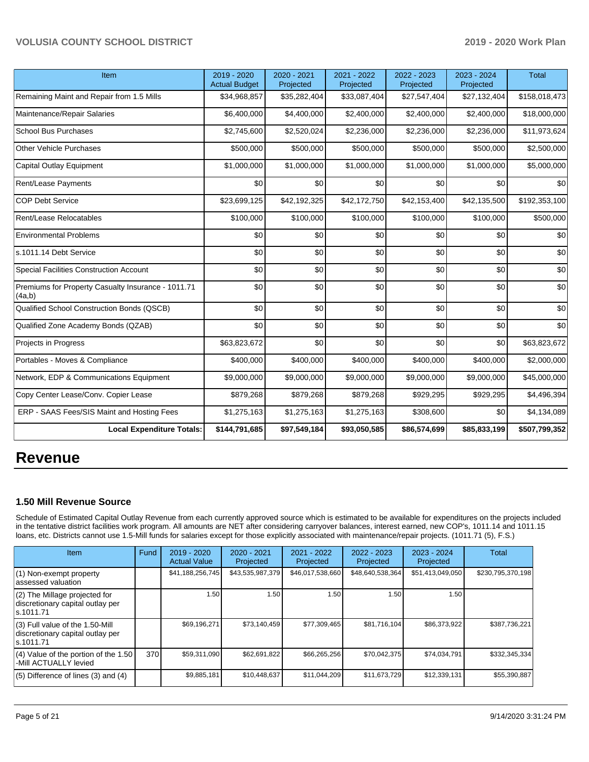| Item                                                         | 2019 - 2020<br><b>Actual Budget</b> | 2020 - 2021<br>Projected | 2021 - 2022<br>Projected | 2022 - 2023<br>Projected | 2023 - 2024<br>Projected | <b>Total</b>  |
|--------------------------------------------------------------|-------------------------------------|--------------------------|--------------------------|--------------------------|--------------------------|---------------|
| Remaining Maint and Repair from 1.5 Mills                    | \$34,968,857                        | \$35,282,404             | \$33,087,404             | \$27,547,404             | \$27,132,404             | \$158,018,473 |
| Maintenance/Repair Salaries                                  | \$6,400,000                         | \$4,400,000              | \$2,400,000              | \$2,400,000              | \$2,400,000              | \$18,000,000  |
| <b>School Bus Purchases</b>                                  | \$2,745,600                         | \$2,520,024              | \$2,236,000              | \$2,236,000              | \$2,236,000              | \$11,973,624  |
| Other Vehicle Purchases                                      | \$500,000                           | \$500,000                | \$500,000                | \$500,000                | \$500,000                | \$2,500,000   |
| Capital Outlay Equipment                                     | \$1,000,000                         | \$1,000,000              | \$1,000,000              | \$1,000,000              | \$1,000,000              | \$5,000,000   |
| Rent/Lease Payments                                          | \$0                                 | \$0                      | \$0                      | \$0                      | \$0                      | \$0           |
| COP Debt Service                                             | \$23,699,125                        | \$42,192,325             | \$42,172,750             | \$42,153,400             | \$42,135,500             | \$192,353,100 |
| Rent/Lease Relocatables                                      | \$100,000                           | \$100,000                | \$100,000                | \$100,000                | \$100,000                | \$500,000     |
| <b>Environmental Problems</b>                                | \$0                                 | \$0                      | \$0                      | \$0                      | \$0                      | \$0           |
| s.1011.14 Debt Service                                       | \$0                                 | \$0                      | \$0                      | \$0                      | \$0                      | \$0           |
| <b>Special Facilities Construction Account</b>               | \$0                                 | \$0                      | \$0                      | \$0                      | \$0                      | \$0           |
| Premiums for Property Casualty Insurance - 1011.71<br>(4a,b) | \$0                                 | \$0                      | \$0                      | \$0                      | \$0                      | \$0           |
| Qualified School Construction Bonds (QSCB)                   | \$0                                 | \$0                      | \$0                      | \$0                      | \$0                      | \$0           |
| Qualified Zone Academy Bonds (QZAB)                          | \$0                                 | \$0                      | \$0                      | \$0                      | \$0                      | \$0           |
| Projects in Progress                                         | \$63,823,672                        | \$0                      | \$0                      | \$0                      | \$0                      | \$63,823,672  |
| Portables - Moves & Compliance                               | \$400,000                           | \$400,000                | \$400,000                | \$400,000                | \$400,000                | \$2,000,000   |
| Network, EDP & Communications Equipment                      | \$9,000,000                         | \$9,000,000              | \$9,000,000              | \$9,000,000              | \$9,000,000              | \$45,000,000  |
| Copy Center Lease/Conv. Copier Lease                         | \$879,268                           | \$879,268                | \$879,268                | \$929,295                | \$929,295                | \$4,496,394   |
| ERP - SAAS Fees/SIS Maint and Hosting Fees                   | \$1,275,163                         | \$1,275,163              | \$1,275,163              | \$308,600                | \$0                      | \$4,134,089   |
| <b>Local Expenditure Totals:</b>                             | \$144,791,685                       | \$97,549,184             | \$93,050,585             | \$86,574,699             | \$85,833,199             | \$507,799,352 |

## **Revenue**

#### **1.50 Mill Revenue Source**

Schedule of Estimated Capital Outlay Revenue from each currently approved source which is estimated to be available for expenditures on the projects included in the tentative district facilities work program. All amounts are NET after considering carryover balances, interest earned, new COP's, 1011.14 and 1011.15 loans, etc. Districts cannot use 1.5-Mill funds for salaries except for those explicitly associated with maintenance/repair projects. (1011.71 (5), F.S.)

| <b>Item</b>                                                                      | Fund             | $2019 - 2020$<br><b>Actual Value</b> | 2020 - 2021<br>Projected | $2021 - 2022$<br>Projected | $2022 - 2023$<br>Projected | $2023 - 2024$<br>Projected | <b>Total</b>      |
|----------------------------------------------------------------------------------|------------------|--------------------------------------|--------------------------|----------------------------|----------------------------|----------------------------|-------------------|
| (1) Non-exempt property<br>assessed valuation                                    |                  | \$41,188,256,745                     | \$43,535,987,379         | \$46,017,538,660           | \$48,640,538,364           | \$51,413,049,050           | \$230,795,370,198 |
| (2) The Millage projected for<br>discretionary capital outlay per<br>s.1011.71   |                  | 1.50                                 | 1.50                     | 1.50                       | 1.50                       | 1.50                       |                   |
| (3) Full value of the 1.50-Mill<br>discretionary capital outlay per<br>s.1011.71 |                  | \$69,196,271                         | \$73,140,459             | \$77,309,465               | \$81,716,104               | \$86,373,922               | \$387,736,221     |
| (4) Value of the portion of the 1.50<br>-Mill ACTUALLY levied                    | 370 <sup>1</sup> | \$59,311,090                         | \$62,691,822             | \$66,265,256               | \$70,042,375               | \$74,034,791               | \$332,345,334     |
| (5) Difference of lines (3) and (4)                                              |                  | \$9,885,181                          | \$10,448,637             | \$11,044,209               | \$11,673,729               | \$12,339,131               | \$55,390,887      |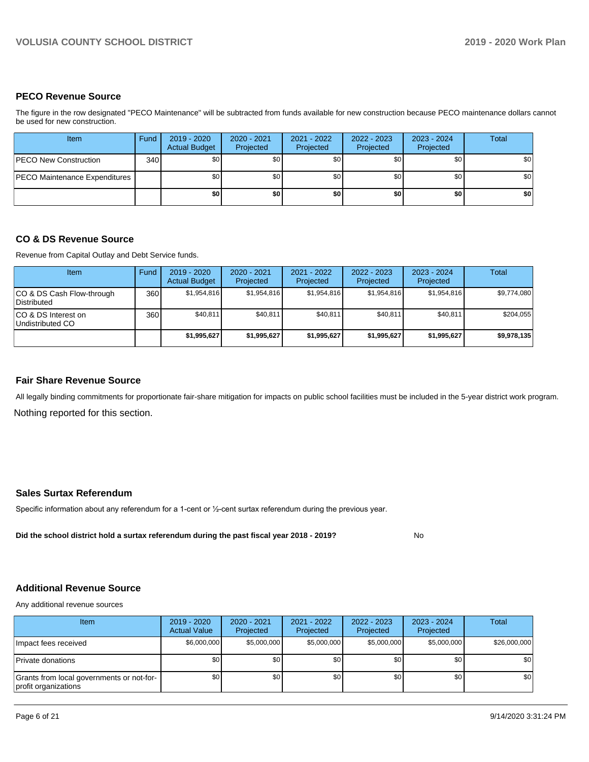### **PECO Revenue Source**

The figure in the row designated "PECO Maintenance" will be subtracted from funds available for new construction because PECO maintenance dollars cannot be used for new construction.

| Item                                 | Fund | 2019 - 2020<br><b>Actual Budget</b> | $2020 - 2021$<br>Projected | 2021 - 2022<br>Projected | 2022 - 2023<br>Projected | 2023 - 2024<br>Projected | Total |
|--------------------------------------|------|-------------------------------------|----------------------------|--------------------------|--------------------------|--------------------------|-------|
| <b>IPECO New Construction</b>        | 340  | \$0                                 | \$0                        | \$0                      | \$0                      | \$0                      | \$0   |
| <b>PECO Maintenance Expenditures</b> |      | <b>\$01</b>                         | \$0                        | \$0 <sub>1</sub>         | \$0                      | \$0                      | \$0   |
|                                      |      | \$0                                 | \$0                        | \$0                      | \$0                      | \$0                      | \$0   |

### **CO & DS Revenue Source**

Revenue from Capital Outlay and Debt Service funds.

| Item                                      | Fund | $2019 - 2020$<br><b>Actual Budget</b> | 2020 - 2021<br>Projected | 2021 - 2022<br>Projected | $2022 - 2023$<br>Projected | $2023 - 2024$<br>Projected | Total       |
|-------------------------------------------|------|---------------------------------------|--------------------------|--------------------------|----------------------------|----------------------------|-------------|
| ICO & DS Cash Flow-through<br>Distributed | 360  | \$1.954.816                           | \$1,954,816              | \$1,954,816              | \$1.954.816                | \$1,954,816                | \$9,774,080 |
| ICO & DS Interest on<br>Undistributed CO  | 360  | \$40,811                              | \$40,811                 | \$40,811                 | \$40,811                   | \$40,811                   | \$204,055   |
|                                           |      | \$1,995,627                           | \$1,995,627              | \$1,995,627              | \$1,995,627                | \$1,995,627                | \$9,978,135 |

#### **Fair Share Revenue Source**

Nothing reported for this section. All legally binding commitments for proportionate fair-share mitigation for impacts on public school facilities must be included in the 5-year district work program.

### **Sales Surtax Referendum**

Specific information about any referendum for a 1-cent or ½-cent surtax referendum during the previous year.

**Did the school district hold a surtax referendum during the past fiscal year 2018 - 2019?**

No

### **Additional Revenue Source**

Any additional revenue sources

| <b>Item</b>                                                       | $2019 - 2020$<br><b>Actual Value</b> | 2020 - 2021<br>Projected | 2021 - 2022<br>Projected | 2022 - 2023<br>Projected | $2023 - 2024$<br>Projected | Total        |
|-------------------------------------------------------------------|--------------------------------------|--------------------------|--------------------------|--------------------------|----------------------------|--------------|
| Impact fees received                                              | \$6,000,000                          | \$5,000,000              | \$5,000,000              | \$5,000,000              | \$5,000,000                | \$26,000,000 |
| Private donations                                                 | \$0                                  | \$0                      | \$0                      | \$0                      | \$0                        | \$0          |
| Grants from local governments or not-for-<br>profit organizations | \$0 <sub>1</sub>                     | \$0                      | \$0                      | \$0                      | \$0                        | \$0          |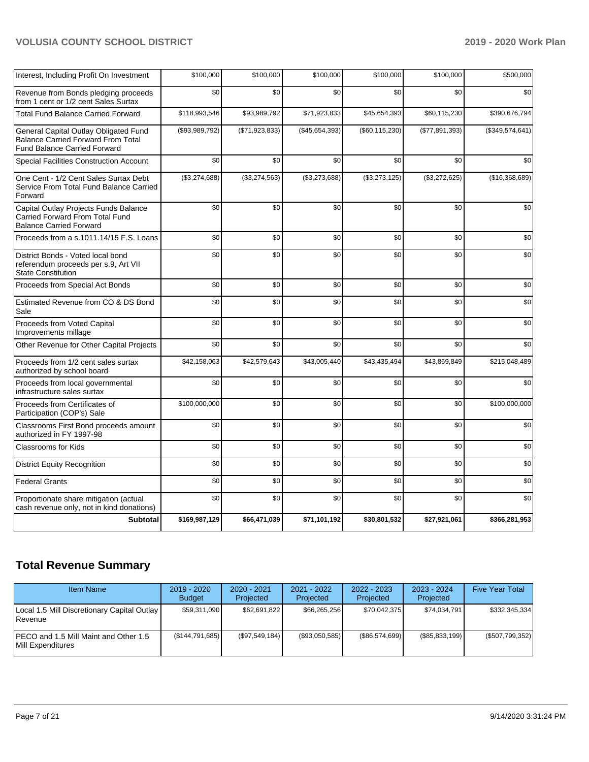| Interest, Including Profit On Investment                                                                                  | \$100,000      | \$100,000      | \$100,000      | \$100,000        | \$100,000      | \$500,000       |
|---------------------------------------------------------------------------------------------------------------------------|----------------|----------------|----------------|------------------|----------------|-----------------|
| Revenue from Bonds pledging proceeds<br>from 1 cent or 1/2 cent Sales Surtax                                              | \$0            | \$0            | \$0            | \$0              | \$0            | \$0             |
| <b>Total Fund Balance Carried Forward</b>                                                                                 | \$118,993,546  | \$93,989,792   | \$71,923,833   | \$45,654,393     | \$60,115,230   | \$390,676,794   |
| General Capital Outlay Obligated Fund<br><b>Balance Carried Forward From Total</b><br><b>Fund Balance Carried Forward</b> | (\$93,989,792) | (\$71,923,833) | (\$45,654,393) | (\$60, 115, 230) | (\$77,891,393) | (\$349,574,641) |
| <b>Special Facilities Construction Account</b>                                                                            | \$0            | \$0            | \$0            | \$0              | \$0            | \$0             |
| One Cent - 1/2 Cent Sales Surtax Debt<br>Service From Total Fund Balance Carried<br>Forward                               | (\$3,274,688)  | (\$3,274,563)  | (\$3,273,688)  | (\$3,273,125)    | (\$3,272,625)  | (\$16,368,689)  |
| Capital Outlay Projects Funds Balance<br>Carried Forward From Total Fund<br><b>Balance Carried Forward</b>                | \$0            | \$0            | \$0            | \$0              | \$0            | \$0             |
| Proceeds from a s.1011.14/15 F.S. Loans                                                                                   | \$0            | \$0            | \$0            | \$0              | \$0            | \$0             |
| District Bonds - Voted local bond<br>referendum proceeds per s.9, Art VII<br><b>State Constitution</b>                    | \$0            | \$0            | \$0            | \$0              | \$0            | \$0             |
| Proceeds from Special Act Bonds                                                                                           | \$0            | \$0            | \$0            | \$0              | \$0            | \$0             |
| Estimated Revenue from CO & DS Bond<br>Sale                                                                               | \$0            | \$0            | \$0            | \$0              | \$0            | \$0             |
| Proceeds from Voted Capital<br>Improvements millage                                                                       | \$0            | \$0            | \$0            | \$0              | \$0            | \$0             |
| Other Revenue for Other Capital Projects                                                                                  | \$0            | \$0            | \$0            | \$0              | \$0            | \$0             |
| Proceeds from 1/2 cent sales surtax<br>authorized by school board                                                         | \$42,158,063   | \$42,579,643   | \$43,005,440   | \$43,435,494     | \$43,869,849   | \$215,048,489   |
| Proceeds from local governmental<br>infrastructure sales surtax                                                           | \$0            | \$0            | \$0            | \$0              | \$0            | \$0             |
| Proceeds from Certificates of<br>Participation (COP's) Sale                                                               | \$100,000,000  | \$0            | \$0            | \$0              | \$0            | \$100,000,000   |
| Classrooms First Bond proceeds amount<br>authorized in FY 1997-98                                                         | \$0            | \$0            | \$0            | \$0              | \$0            | \$0             |
| <b>Classrooms for Kids</b>                                                                                                | \$0            | \$0            | \$0            | \$0              | \$0            | \$0             |
| <b>District Equity Recognition</b>                                                                                        | \$0            | \$0            | \$0            | \$0              | \$0            | \$0             |
| <b>Federal Grants</b>                                                                                                     | \$0            | \$0            | \$0            | \$0              | \$0            | \$0             |
| Proportionate share mitigation (actual<br>cash revenue only, not in kind donations)                                       | \$0            | \$0            | \$0            | \$0              | \$0            | \$0             |
| <b>Subtotal</b>                                                                                                           | \$169,987,129  | \$66,471,039   | \$71,101,192   | \$30,801,532     | \$27,921,061   | \$366,281,953   |

## **Total Revenue Summary**

| <b>Item Name</b>                                                | 2019 - 2020<br><b>Budget</b> | $2020 - 2021$<br>Projected | $2021 - 2022$<br>Projected | $2022 - 2023$<br>Projected | $2023 - 2024$<br>Projected | <b>Five Year Total</b> |
|-----------------------------------------------------------------|------------------------------|----------------------------|----------------------------|----------------------------|----------------------------|------------------------|
| Local 1.5 Mill Discretionary Capital Outlay  <br><b>Revenue</b> | \$59,311,090                 | \$62.691.822               | \$66.265.256               | \$70,042,375               | \$74,034,791               | \$332,345,334          |
| IPECO and 1.5 Mill Maint and Other 1.5<br>Mill Expenditures     | (\$144,791,685)              | (S97.549.184)              | (\$93,050,585)             | (\$86,574,699)             | (\$85,833,199)             | (\$507,799,352)        |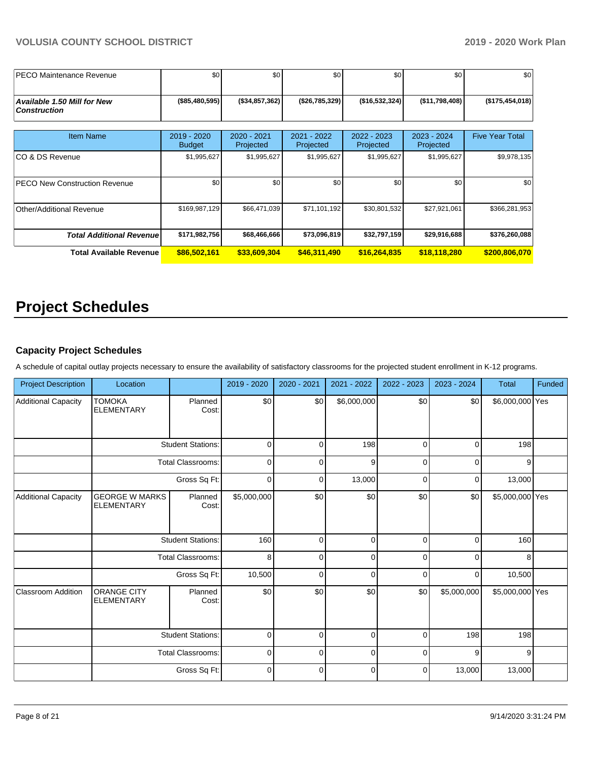| <b>IPECO Maintenance Revenue</b>                          | \$0                          | \$0 <sub>1</sub>         | \$0                      | \$0                      | \$0                      | \$0                    |
|-----------------------------------------------------------|------------------------------|--------------------------|--------------------------|--------------------------|--------------------------|------------------------|
| <b>Available 1.50 Mill for New</b><br><b>Construction</b> | (\$85,480,595)               | (\$34,857,362)           | (\$26,785,329)           | (\$16,532,324)           | (\$11,798,408)           | (\$175,454,018)        |
|                                                           |                              |                          |                          |                          |                          |                        |
| <b>Item Name</b>                                          | 2019 - 2020<br><b>Budget</b> | 2020 - 2021<br>Projected | 2021 - 2022<br>Projected | 2022 - 2023<br>Projected | 2023 - 2024<br>Projected | <b>Five Year Total</b> |
| ICO & DS Revenue                                          | \$1,995,627                  | \$1,995,627              | \$1,995,627              | \$1,995,627              | \$1,995,627              | \$9,978,135            |
| <b>PECO New Construction Revenue</b>                      | \$0                          | \$0 <sub>1</sub>         | \$0                      | \$0                      | \$0                      | \$0                    |
| Other/Additional Revenue                                  | \$169,987,129                | \$66,471,039             | \$71,101,192             | \$30,801,532             | \$27,921,061             | \$366,281,953          |
| <b>Total Additional Revenuel</b>                          | \$171,982,756                | \$68,466,666             | \$73,096,819             | \$32,797,159             | \$29,916,688             | \$376,260,088          |
| <b>Total Available Revenue</b>                            | \$86,502,161                 | \$33,609,304             | \$46,311,490             | \$16,264,835             | \$18,118,280             | \$200,806,070          |

# **Project Schedules**

## **Capacity Project Schedules**

A schedule of capital outlay projects necessary to ensure the availability of satisfactory classrooms for the projected student enrollment in K-12 programs.

| <b>Project Description</b> | Location                                   |                          | 2019 - 2020    | 2020 - 2021    | 2021 - 2022 | 2022 - 2023    | 2023 - 2024 | Total           | Funded |
|----------------------------|--------------------------------------------|--------------------------|----------------|----------------|-------------|----------------|-------------|-----------------|--------|
| <b>Additional Capacity</b> | <b>TOMOKA</b><br><b>ELEMENTARY</b>         | Planned<br>Cost:         | \$0            | \$0            | \$6,000,000 | \$0            | \$0         | \$6,000,000 Yes |        |
|                            |                                            | <b>Student Stations:</b> | $\overline{0}$ | $\Omega$       | 198         | $\overline{0}$ | $\mathbf 0$ | 198             |        |
|                            | <b>Total Classrooms:</b>                   |                          | $\mathbf 0$    | $\mathbf{0}$   | 9           | $\mathbf 0$    | $\mathbf 0$ | 9               |        |
|                            | Gross Sq Ft:                               |                          | $\mathbf 0$    | 0              | 13,000      | $\mathbf 0$    | $\mathbf 0$ | 13,000          |        |
| <b>Additional Capacity</b> | <b>GEORGE W MARKS</b><br><b>ELEMENTARY</b> | Planned<br>Cost:         | \$5,000,000    | \$0            | \$0         | \$0            | \$0         | \$5,000,000 Yes |        |
|                            | <b>Student Stations:</b>                   |                          | 160            | $\mathbf 0$    | $\mathbf 0$ | $\mathbf 0$    | $\mathbf 0$ | 160             |        |
|                            |                                            | <b>Total Classrooms:</b> | 8              | $\overline{0}$ | 0           | $\overline{0}$ | $\mathbf 0$ | 8               |        |
|                            |                                            | Gross Sq Ft:             | 10,500         | 0              | $\mathbf 0$ | 0              | $\mathbf 0$ | 10,500          |        |
| <b>Classroom Addition</b>  | <b>ORANGE CITY</b><br><b>ELEMENTARY</b>    | Planned<br>Cost:         | \$0            | \$0            | \$0         | \$0            | \$5,000,000 | \$5,000,000 Yes |        |
|                            | <b>Student Stations:</b>                   |                          | $\pmb{0}$      | 0              | $\pmb{0}$   | 0              | 198         | 198             |        |
|                            |                                            | <b>Total Classrooms:</b> | $\mathbf 0$    | $\overline{0}$ | $\mathbf 0$ | $\mathbf{0}$   | 9           | 9               |        |
|                            |                                            | Gross Sq Ft:             | $\pmb{0}$      | 0              | $\pmb{0}$   | 0              | 13,000      | 13,000          |        |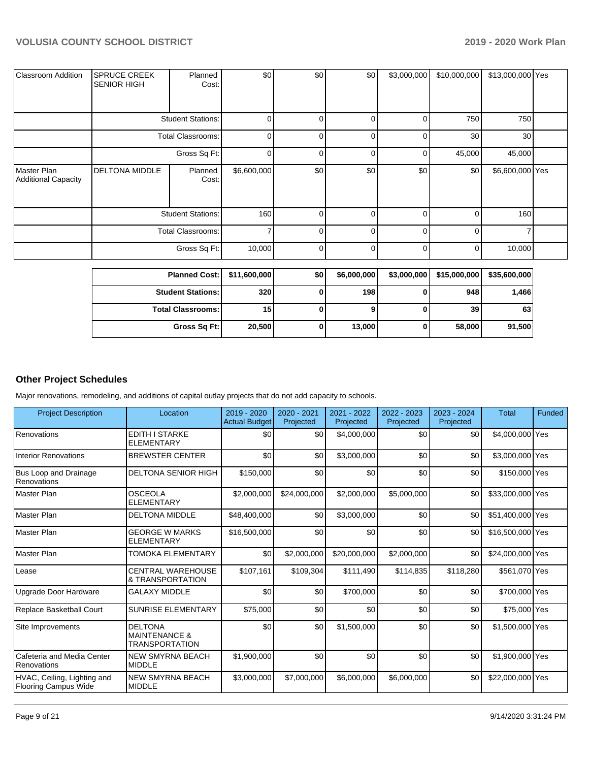| <b>Classroom Addition</b>          | <b>SPRUCE CREEK</b><br><b>SENIOR HIGH</b> | Planned<br>Cost:         | \$0            | \$0            | \$0            | \$3,000,000 | \$10,000,000 | \$13,000,000 Yes |  |
|------------------------------------|-------------------------------------------|--------------------------|----------------|----------------|----------------|-------------|--------------|------------------|--|
|                                    |                                           | <b>Student Stations:</b> | $\overline{0}$ | 0              | 0              | 0           | 750          | 750              |  |
|                                    |                                           | Total Classrooms:        | $\overline{0}$ | $\overline{0}$ | $\overline{0}$ | 0           | 30           | 30               |  |
|                                    |                                           | Gross Sq Ft:             | $\overline{0}$ | 0              | $\Omega$       | 0           | 45,000       | 45,000           |  |
| Master Plan<br>Additional Capacity | <b>DELTONA MIDDLE</b>                     | Planned<br>Cost:         | \$6,600,000    | \$0            | \$0            | \$0         | \$0          | \$6,600,000 Yes  |  |
|                                    | <b>Student Stations:</b>                  |                          | 160            | $\overline{0}$ | $\overline{0}$ | 0           | 0            | 160              |  |
|                                    | <b>Total Classrooms:</b>                  |                          | 7              | ΟI             | $\Omega$       | 0           | $\Omega$     |                  |  |
|                                    |                                           | Gross Sq Ft:             | 10,000         | οI             | $\Omega$       | 0           | 0            | 10,000           |  |

| Planned Cost:   \$11,600,000 |        | \$0 | \$6,000,000 | \$3,000,000 | \$15,000,000 | \$35,600,000 |
|------------------------------|--------|-----|-------------|-------------|--------------|--------------|
| <b>Student Stations:</b>     | 320    |     | 198         | υ           | 948          | 1,466        |
| <b>Total Classrooms:</b>     | 15 I   |     |             |             | 39           | 63           |
| Gross Sq Ft:                 | 20,500 |     | 13,000      | 0           | 58,000       | 91,500       |

## **Other Project Schedules**

Major renovations, remodeling, and additions of capital outlay projects that do not add capacity to schools.

| <b>Project Description</b>                                 | Location                                                            | 2019 - 2020<br><b>Actual Budget</b> | 2020 - 2021<br>Projected | 2021 - 2022<br>Projected | 2022 - 2023<br>Projected | 2023 - 2024<br>Projected | <b>Total</b>     | Funded |
|------------------------------------------------------------|---------------------------------------------------------------------|-------------------------------------|--------------------------|--------------------------|--------------------------|--------------------------|------------------|--------|
| Renovations                                                | <b>EDITH I STARKE</b><br><b>ELEMENTARY</b>                          | \$0                                 | \$0                      | \$4,000,000              | \$0                      | \$0 <sub>1</sub>         | \$4,000,000 Yes  |        |
| <b>Interior Renovations</b>                                | <b>BREWSTER CENTER</b>                                              | \$0                                 | \$0                      | \$3,000,000              | \$0                      | \$0                      | \$3,000,000 Yes  |        |
| Bus Loop and Drainage<br>Renovations                       | <b>DELTONA SENIOR HIGH</b>                                          | \$150,000                           | \$0                      | \$0                      | \$0                      | \$0                      | \$150,000 Yes    |        |
| Master Plan                                                | <b>OSCEOLA</b><br><b>ELEMENTARY</b>                                 | \$2,000,000                         | \$24,000,000             | \$2,000,000              | \$5,000,000              | \$0                      | \$33,000,000 Yes |        |
| Master Plan                                                | <b>DELTONA MIDDLE</b>                                               | \$48,400,000                        | \$0                      | \$3,000,000              | \$0                      | \$0                      | \$51,400,000 Yes |        |
| <b>Master Plan</b>                                         | <b>GEORGE W MARKS</b><br><b>ELEMENTARY</b>                          | \$16,500,000                        | \$0                      | \$0                      | \$0                      | \$0                      | \$16,500,000 Yes |        |
| Master Plan                                                | TOMOKA ELEMENTARY                                                   | \$0                                 | \$2,000,000              | \$20,000,000             | \$2,000,000              | \$0                      | \$24,000,000 Yes |        |
| Lease                                                      | <b>CENTRAL WAREHOUSE</b><br>& TRANSPORTATION                        | \$107,161                           | \$109,304                | \$111,490                | \$114,835                | \$118,280                | \$561,070 Yes    |        |
| Upgrade Door Hardware                                      | <b>GALAXY MIDDLE</b>                                                | \$0                                 | \$0                      | \$700,000                | \$0                      | \$0                      | \$700,000 Yes    |        |
| Replace Basketball Court                                   | SUNRISE ELEMENTARY                                                  | \$75,000                            | \$0                      | \$0                      | \$0                      | \$0                      | \$75,000 Yes     |        |
| Site Improvements                                          | <b>DELTONA</b><br><b>MAINTENANCE &amp;</b><br><b>TRANSPORTATION</b> | \$0                                 | \$0                      | \$1,500,000              | \$0                      | \$0                      | \$1,500,000 Yes  |        |
| Cafeteria and Media Center<br>Renovations                  | <b>NEW SMYRNA BEACH</b><br><b>MIDDLE</b>                            | \$1,900,000                         | \$0                      | \$0                      | \$0                      | \$0                      | \$1,900,000 Yes  |        |
| HVAC, Ceiling, Lighting and<br><b>Flooring Campus Wide</b> | <b>NEW SMYRNA BEACH</b><br><b>MIDDLE</b>                            | \$3,000,000                         | \$7,000,000              | \$6,000,000              | \$6,000,000              | \$0                      | \$22,000,000 Yes |        |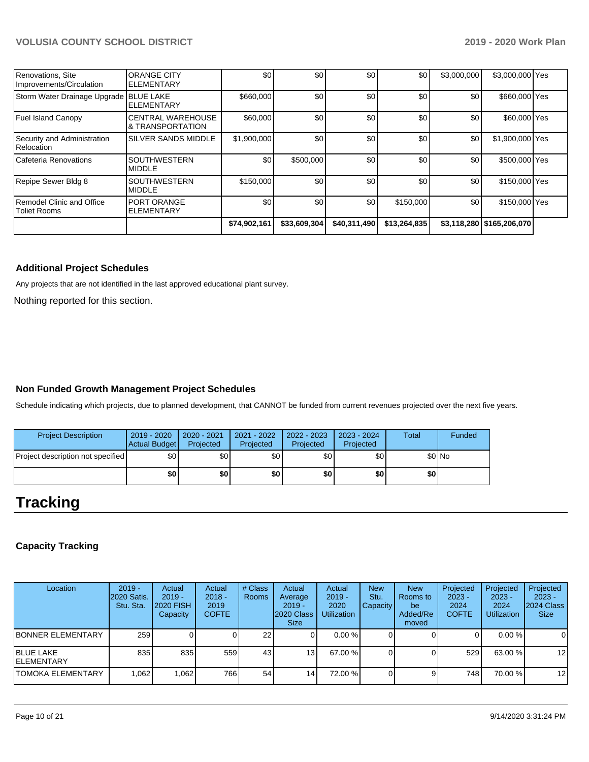| Renovations, Site<br>Improvements/Circulation    | <b>ORANGE CITY</b><br><b>I</b> ELEMENTARY                | \$0          | \$0          | \$0          | \$0          | \$3,000,000 | \$3,000,000 Yes             |  |
|--------------------------------------------------|----------------------------------------------------------|--------------|--------------|--------------|--------------|-------------|-----------------------------|--|
| Storm Water Drainage Upgrade BLUE LAKE           | <b>ELEMENTARY</b>                                        | \$660,000    | \$0          | \$0          | \$0          | \$0         | \$660,000 Yes               |  |
| <b>Fuel Island Canopy</b>                        | <b>ICENTRAL WAREHOUSE</b><br><b>&amp; TRANSPORTATION</b> | \$60,000     | \$0          | \$0          | \$0          | \$0         | \$60,000 Yes                |  |
| Security and Administration<br>Relocation        | <b>SILVER SANDS MIDDLE</b>                               | \$1,900,000  | \$0          | \$0          | \$0          | \$0         | \$1,900,000 Yes             |  |
| Cafeteria Renovations                            | <b>ISOUTHWESTERN</b><br><b>MIDDLE</b>                    | \$0          | \$500,000    | \$0          | \$0          | \$0         | \$500,000 Yes               |  |
| Repipe Sewer Bldg 8                              | <b>SOUTHWESTERN</b><br><b>MIDDLE</b>                     | \$150,000    | \$0          | \$0          | \$0          | \$0         | \$150,000 Yes               |  |
| Remodel Clinic and Office<br><b>Toliet Rooms</b> | <b>PORT ORANGE</b><br><b>I</b> ELEMENTARY                | \$0          | \$0          | \$0          | \$150,000    | \$0         | \$150,000 Yes               |  |
|                                                  |                                                          | \$74,902,161 | \$33,609,304 | \$40,311,490 | \$13,264,835 |             | \$3,118,280   \$165,206,070 |  |

### **Additional Project Schedules**

Any projects that are not identified in the last approved educational plant survey.

Nothing reported for this section.

## **Non Funded Growth Management Project Schedules**

Schedule indicating which projects, due to planned development, that CANNOT be funded from current revenues projected over the next five years.

| <b>Project Description</b>        | 2019 - 2020<br>Actual Budget | 2020 - 2021<br>Projected | 2021 - 2022<br>Projected | 2022 - 2023<br>Projected | $2023 - 2024$<br>Projected | Total | Funded  |
|-----------------------------------|------------------------------|--------------------------|--------------------------|--------------------------|----------------------------|-------|---------|
| Project description not specified | \$0 <sub>1</sub>             | \$0 <sub>1</sub>         | \$0                      | \$٥                      | \$0                        |       | $$0$ No |
|                                   | \$0                          | \$0                      | \$0                      | \$0 I                    | \$0                        | \$0   |         |

## **Tracking**

## **Capacity Tracking**

| Location                               | $2019 -$<br><b>2020 Satis.</b><br>Stu. Sta. | Actual<br>$2019 -$<br><b>2020 FISH</b><br>Capacity | Actual<br>$2018 -$<br>2019<br><b>COFTE</b> | # Class<br>Rooms | Actual<br>Average<br>$2019 -$<br>2020 Class<br><b>Size</b> | Actual<br>$2019 -$<br>2020<br><b>Utilization</b> | <b>New</b><br>Stu.<br><b>Capacity</b> | <b>New</b><br>Rooms to<br>be<br>Added/Re<br>moved | Projected<br>$2023 -$<br>2024<br><b>COFTE</b> | Projected<br>$2023 -$<br>2024<br><b>Utilization</b> | Projected<br>$2023 -$<br>2024 Class<br><b>Size</b> |
|----------------------------------------|---------------------------------------------|----------------------------------------------------|--------------------------------------------|------------------|------------------------------------------------------------|--------------------------------------------------|---------------------------------------|---------------------------------------------------|-----------------------------------------------|-----------------------------------------------------|----------------------------------------------------|
| <b>BONNER ELEMENTARY</b>               | 259 <sup>1</sup>                            |                                                    |                                            | 22               | υı                                                         | 0.00%                                            |                                       |                                                   | 0                                             | $0.00 \%$                                           | $\mathbf 0$                                        |
| <b>BLUE LAKE</b><br><b>IELEMENTARY</b> | 835                                         | 835                                                | 559                                        | 43               | 131                                                        | 67.00 %                                          |                                       |                                                   | 529                                           | 63.00 %                                             | $12 \overline{ }$                                  |
| <b>ITOMOKA ELEMENTARY</b>              | 1.062                                       | 1,062                                              | 766                                        | 54               | 14                                                         | 72.00 %                                          |                                       |                                                   | 748 I                                         | 70.00 %                                             | 12                                                 |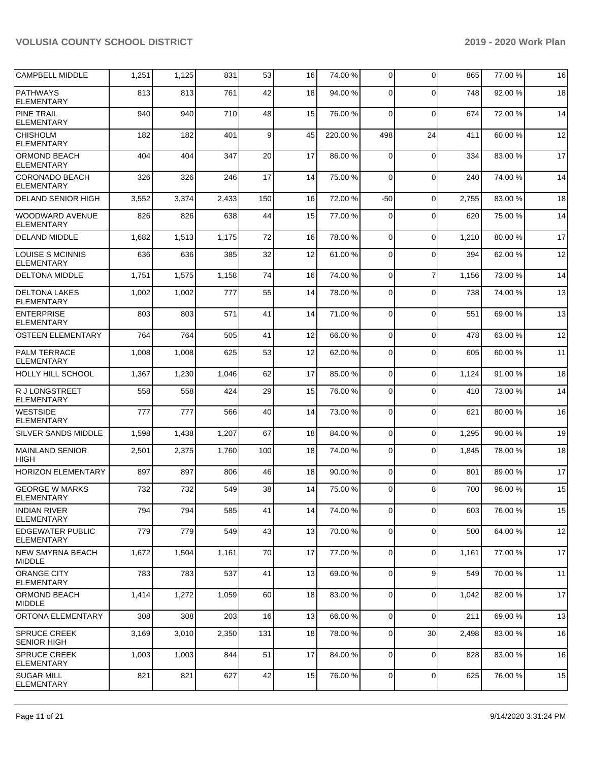| CAMPBELL MIDDLE                              | 1,251 | 1,125 | 831   | 53  | 16 | 74.00 % | 0           | $\Omega$       | 865   | 77.00 % | 16 |
|----------------------------------------------|-------|-------|-------|-----|----|---------|-------------|----------------|-------|---------|----|
| <b>PATHWAYS</b><br><b>ELEMENTARY</b>         | 813   | 813   | 761   | 42  | 18 | 94.00 % | 0           | $\Omega$       | 748   | 92.00 % | 18 |
| <b>PINE TRAIL</b><br><b>ELEMENTARY</b>       | 940   | 940   | 710   | 48  | 15 | 76.00 % | $\Omega$    | $\Omega$       | 674   | 72.00 % | 14 |
| <b>CHISHOLM</b><br><b>ELEMENTARY</b>         | 182   | 182   | 401   | 9   | 45 | 220.00% | 498         | 24             | 411   | 60.00 % | 12 |
| <b>ORMOND BEACH</b><br><b>ELEMENTARY</b>     | 404   | 404   | 347   | 20  | 17 | 86.00 % | $\Omega$    | $\mathbf 0$    | 334   | 83.00 % | 17 |
| CORONADO BEACH<br><b>ELEMENTARY</b>          | 326   | 326   | 246   | 17  | 14 | 75.00 % | $\Omega$    | $\Omega$       | 240   | 74.00 % | 14 |
| <b>DELAND SENIOR HIGH</b>                    | 3,552 | 3,374 | 2,433 | 150 | 16 | 72.00 % | $-50$       | $\Omega$       | 2,755 | 83.00 % | 18 |
| <b>WOODWARD AVENUE</b><br>ELEMENTARY         | 826   | 826   | 638   | 44  | 15 | 77.00 % | 0           | $\Omega$       | 620   | 75.00 % | 14 |
| <b>DELAND MIDDLE</b>                         | 1,682 | 1,513 | 1,175 | 72  | 16 | 78.00 % | $\Omega$    | $\Omega$       | 1,210 | 80.00 % | 17 |
| <b>LOUISE S MCINNIS</b><br><b>ELEMENTARY</b> | 636   | 636   | 385   | 32  | 12 | 61.00%  | $\Omega$    | $\Omega$       | 394   | 62.00 % | 12 |
| <b>DELTONA MIDDLE</b>                        | 1,751 | 1,575 | 1,158 | 74  | 16 | 74.00 % | $\mathbf 0$ | $\overline{7}$ | 1,156 | 73.00 % | 14 |
| <b>DELTONA LAKES</b><br><b>ELEMENTARY</b>    | 1,002 | 1,002 | 777   | 55  | 14 | 78.00 % | $\Omega$    | $\Omega$       | 738   | 74.00 % | 13 |
| <b>ENTERPRISE</b><br><b>ELEMENTARY</b>       | 803   | 803   | 571   | 41  | 14 | 71.00 % | $\mathbf 0$ | $\mathbf 0$    | 551   | 69.00 % | 13 |
| <b>OSTEEN ELEMENTARY</b>                     | 764   | 764   | 505   | 41  | 12 | 66.00 % | $\Omega$    | $\Omega$       | 478   | 63.00 % | 12 |
| <b>PALM TERRACE</b><br>ELEMENTARY            | 1,008 | 1,008 | 625   | 53  | 12 | 62.00 % | $\Omega$    | $\Omega$       | 605   | 60.00 % | 11 |
| <b>HOLLY HILL SCHOOL</b>                     | 1,367 | 1,230 | 1,046 | 62  | 17 | 85.00 % | $\mathbf 0$ | $\Omega$       | 1,124 | 91.00 % | 18 |
| R J LONGSTREET<br>ELEMENTARY                 | 558   | 558   | 424   | 29  | 15 | 76.00 % | $\Omega$    | $\Omega$       | 410   | 73.00 % | 14 |
| <b>WESTSIDE</b><br><b>ELEMENTARY</b>         | 777   | 777   | 566   | 40  | 14 | 73.00 % | $\mathbf 0$ | $\Omega$       | 621   | 80.00 % | 16 |
| <b>SILVER SANDS MIDDLE</b>                   | 1,598 | 1,438 | 1,207 | 67  | 18 | 84.00 % | $\Omega$    | $\Omega$       | 1,295 | 90.00 % | 19 |
| MAINLAND SENIOR<br><b>HIGH</b>               | 2,501 | 2,375 | 1,760 | 100 | 18 | 74.00 % | $\Omega$    | $\Omega$       | 1,845 | 78.00 % | 18 |
| <b>HORIZON ELEMENTARY</b>                    | 897   | 897   | 806   | 46  | 18 | 90.00 % | 0           | $\Omega$       | 801   | 89.00 % | 17 |
| <b>GEORGE W MARKS</b><br>ELEMENTARY          | 732   | 732   | 549   | 38  | 14 | 75.00 % | $\Omega$    | 8              | 700   | 96.00 % | 15 |
| <b>INDIAN RIVER</b><br><b>ELEMENTARY</b>     | 794   | 794   | 585   | 41  | 14 | 74.00 % | $\mathbf 0$ | $\mathbf 0$    | 603   | 76.00 % | 15 |
| <b>EDGEWATER PUBLIC</b><br><b>ELEMENTARY</b> | 779   | 779   | 549   | 43  | 13 | 70.00 % | $\mathbf 0$ | $\mathbf 0$    | 500   | 64.00 % | 12 |
| INEW SMYRNA BEACH<br><b>MIDDLE</b>           | 1,672 | 1,504 | 1,161 | 70  | 17 | 77.00 % | $\mathbf 0$ | $\mathbf 0$    | 1,161 | 77.00 % | 17 |
| <b>ORANGE CITY</b><br><b>ELEMENTARY</b>      | 783   | 783   | 537   | 41  | 13 | 69.00 % | $\mathbf 0$ | 9              | 549   | 70.00 % | 11 |
| <b>ORMOND BEACH</b><br> MIDDLE               | 1,414 | 1,272 | 1,059 | 60  | 18 | 83.00 % | 0           | $\mathbf 0$    | 1,042 | 82.00 % | 17 |
| ORTONA ELEMENTARY                            | 308   | 308   | 203   | 16  | 13 | 66.00 % | 0           | $\mathbf 0$    | 211   | 69.00 % | 13 |
| <b>SPRUCE CREEK</b><br><b>SENIOR HIGH</b>    | 3,169 | 3,010 | 2,350 | 131 | 18 | 78.00 % | 0           | 30             | 2,498 | 83.00 % | 16 |
| <b>SPRUCE CREEK</b><br><b>ELEMENTARY</b>     | 1,003 | 1,003 | 844   | 51  | 17 | 84.00 % | $\mathbf 0$ | $\mathbf 0$    | 828   | 83.00 % | 16 |
| <b>SUGAR MILL</b><br>ELEMENTARY              | 821   | 821   | 627   | 42  | 15 | 76.00%  | 0           | $\mathbf 0$    | 625   | 76.00 % | 15 |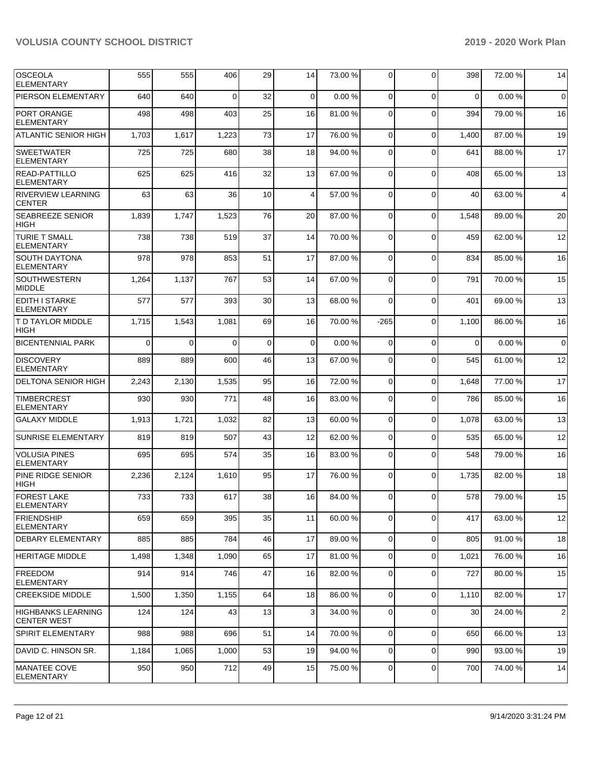| <b>OSCEOLA</b><br><b>ELEMENTARY</b>             | 555      | 555      | 406      | 29          | 14          | 73.00 % | $\overline{0}$ | $\Omega$    | 398      | 72.00 % | 14             |
|-------------------------------------------------|----------|----------|----------|-------------|-------------|---------|----------------|-------------|----------|---------|----------------|
| PIERSON ELEMENTARY                              | 640      | 640      | $\Omega$ | 32          | $\mathbf 0$ | 0.00%   | $\Omega$       | $\Omega$    | $\Omega$ | 0.00%   | $\mathbf 0$    |
| PORT ORANGE<br><b>ELEMENTARY</b>                | 498      | 498      | 403      | 25          | 16          | 81.00%  | $\mathbf 0$    | $\Omega$    | 394      | 79.00 % | 16             |
| <b>ATLANTIC SENIOR HIGH</b>                     | 1,703    | 1,617    | 1,223    | 73          | 17          | 76.00 % | 0              | $\Omega$    | 1,400    | 87.00 % | 19             |
| <b>SWEETWATER</b><br><b>ELEMENTARY</b>          | 725      | 725      | 680      | 38          | 18          | 94.00 % | 0              | $\Omega$    | 641      | 88.00 % | 17             |
| <b>READ-PATTILLO</b><br><b>ELEMENTARY</b>       | 625      | 625      | 416      | 32          | 13          | 67.00 % | 0              | $\Omega$    | 408      | 65.00 % | 13             |
| <b>RIVERVIEW LEARNING</b><br><b>CENTER</b>      | 63       | 63       | 36       | 10          | 4           | 57.00 % | $\mathbf 0$    | $\Omega$    | 40       | 63.00 % | 4              |
| <b>SEABREEZE SENIOR</b><br><b>HIGH</b>          | 1,839    | 1,747    | 1,523    | 76          | 20          | 87.00 % | 0              | $\Omega$    | 1,548    | 89.00 % | 20             |
| <b>TURIE T SMALL</b><br><b>ELEMENTARY</b>       | 738      | 738      | 519      | 37          | 14          | 70.00 % | 0              | $\Omega$    | 459      | 62.00 % | 12             |
| <b>SOUTH DAYTONA</b><br><b>ELEMENTARY</b>       | 978      | 978      | 853      | 51          | 17          | 87.00 % | $\mathbf 0$    | $\Omega$    | 834      | 85.00 % | 16             |
| <b>SOUTHWESTERN</b><br><b>MIDDLE</b>            | 1,264    | 1,137    | 767      | 53          | 14          | 67.00 % | 0              | $\Omega$    | 791      | 70.00 % | 15             |
| <b>EDITH I STARKE</b><br><b>ELEMENTARY</b>      | 577      | 577      | 393      | 30          | 13          | 68.00 % | 0              | $\Omega$    | 401      | 69.00 % | 13             |
| T D TAYLOR MIDDLE<br><b>HIGH</b>                | 1,715    | 1,543    | 1,081    | 69          | 16          | 70.00%  | $-265$         | $\Omega$    | 1,100    | 86.00 % | 16             |
| <b>BICENTENNIAL PARK</b>                        | $\Omega$ | $\Omega$ | $\Omega$ | $\mathbf 0$ | 0           | 0.00%   | $\mathbf 0$    | $\Omega$    | $\Omega$ | 0.00%   | $\mathbf 0$    |
| <b>DISCOVERY</b><br><b>ELEMENTARY</b>           | 889      | 889      | 600      | 46          | 13          | 67.00 % | 0              | $\Omega$    | 545      | 61.00 % | 12             |
| <b>DELTONA SENIOR HIGH</b>                      | 2,243    | 2,130    | 1,535    | 95          | 16          | 72.00 % | $\mathbf{0}$   | $\Omega$    | 1,648    | 77.00 % | 17             |
| <b>TIMBERCREST</b><br><b>ELEMENTARY</b>         | 930      | 930      | 771      | 48          | 16          | 83.00 % | $\mathbf 0$    | $\Omega$    | 786      | 85.00 % | 16             |
| <b>GALAXY MIDDLE</b>                            | 1,913    | 1,721    | 1,032    | 82          | 13          | 60.00 % | $\mathbf 0$    | $\Omega$    | 1,078    | 63.00 % | 13             |
| <b>SUNRISE ELEMENTARY</b>                       | 819      | 819      | 507      | 43          | 12          | 62.00%  | $\mathbf 0$    | $\Omega$    | 535      | 65.00 % | 12             |
| <b>VOLUSIA PINES</b><br><b>ELEMENTARY</b>       | 695      | 695      | 574      | 35          | 16          | 83.00 % | $\mathbf 0$    | $\Omega$    | 548      | 79.00 % | 16             |
| PINE RIDGE SENIOR<br><b>HIGH</b>                | 2,236    | 2,124    | 1,610    | 95          | 17          | 76.00 % | $\Omega$       | $\Omega$    | 1,735    | 82.00 % | 18             |
| <b>FOREST LAKE</b><br><b>ELEMENTARY</b>         | 733      | 733      | 617      | 38          | 16          | 84.00 % | $\overline{0}$ | $\Omega$    | 578      | 79.00 % | 15             |
| <b>FRIENDSHIP</b><br><b>ELEMENTARY</b>          | 659      | 659      | 395      | 35          | 11          | 60.00 % | 0              | $\mathbf 0$ | 417      | 63.00 % | 12             |
| DEBARY ELEMENTARY                               | 885      | 885      | 784      | 46          | 17          | 89.00 % | 0              | $\Omega$    | 805      | 91.00 % | 18             |
| <b>HERITAGE MIDDLE</b>                          | 1,498    | 1,348    | 1,090    | 65          | 17          | 81.00 % | 0              | $\Omega$    | 1,021    | 76.00 % | 16             |
| <b>FREEDOM</b><br><b>ELEMENTARY</b>             | 914      | 914      | 746      | 47          | 16          | 82.00 % | 0              | $\Omega$    | 727      | 80.00 % | 15             |
| <b>CREEKSIDE MIDDLE</b>                         | 1,500    | 1,350    | 1,155    | 64          | 18          | 86.00 % | $\overline{0}$ | $\Omega$    | 1,110    | 82.00%  | 17             |
| <b>HIGHBANKS LEARNING</b><br><b>CENTER WEST</b> | 124      | 124      | 43       | 13          | 3           | 34.00 % | $\mathbf 0$    | $\Omega$    | 30       | 24.00 % | $\overline{2}$ |
| SPIRIT ELEMENTARY                               | 988      | 988      | 696      | 51          | 14          | 70.00 % | $\overline{0}$ | $\Omega$    | 650      | 66.00 % | 13             |
| DAVID C. HINSON SR.                             | 1,184    | 1,065    | 1,000    | 53          | 19          | 94.00 % | $\mathbf 0$    | $\Omega$    | 990      | 93.00 % | 19             |
| <b>MANATEE COVE</b><br><b>ELEMENTARY</b>        | 950      | 950      | 712      | 49          | 15          | 75.00 % | $\overline{0}$ | 0           | 700      | 74.00 % | 14             |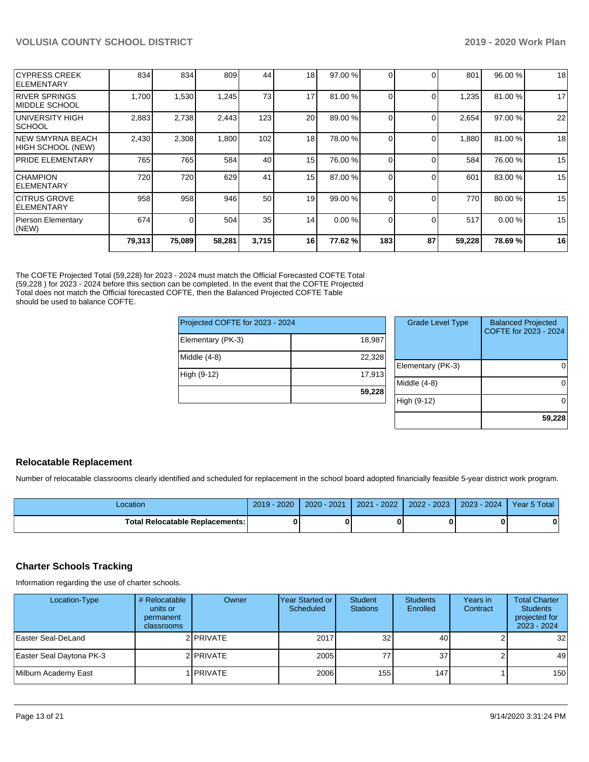|                                            | 79,313 | 75,089   | 58,281 | 3,715 | 16              | 77.62 % | 183          | 87       | 59,228 | 78.69%  | 16 |
|--------------------------------------------|--------|----------|--------|-------|-----------------|---------|--------------|----------|--------|---------|----|
| Pierson Elementary<br>(NEW)                | 674    | $\Omega$ | 504    | 35    | 14 <sup>1</sup> | 0.00%   | <sup>0</sup> | $\Omega$ | 517    | 0.00%   | 15 |
| <b>ICITRUS GROVE</b><br><b>IELEMENTARY</b> | 958    | 958      | 946    | 50    | 19              | 99.00 % |              | $\Omega$ | 770    | 80.00 % | 15 |
| <b>CHAMPION</b><br><b>ELEMENTARY</b>       | 720    | 720      | 629    | 41    | 15              | 87.00 % |              | $\Omega$ | 601    | 83.00 % | 15 |
| PRIDE ELEMENTARY                           | 765    | 765      | 584    | 40    | 15 <sup>1</sup> | 76.00 % |              | ∩        | 584    | 76.00 % | 15 |
| INEW SMYRNA BEACH<br>HIGH SCHOOL (NEW)     | 2,430  | 2,308    | 1,800  | 102   | 18              | 78.00 % |              | $\Omega$ | 1,880  | 81.00 % | 18 |
| UNIVERSITY HIGH<br>SCHOOL                  | 2,883  | 2,738    | 2,443  | 123   | 20              | 89.00 % |              | $\Omega$ | 2,654  | 97.00 % | 22 |
| <b>RIVER SPRINGS</b><br>IMIDDLE SCHOOL     | 1,700  | 1,530    | 1,245  | 73    | 17              | 81.00 % |              | $\Omega$ | 1,235  | 81.00 % | 17 |
| ICYPRESS CREEK<br><b>ELEMENTARY</b>        | 834    | 834      | 809    | 44    | 18              | 97.00 % |              | $\Omega$ | 801    | 96.00 % | 18 |

The COFTE Projected Total (59,228) for 2023 - 2024 must match the Official Forecasted COFTE Total (59,228 ) for 2023 - 2024 before this section can be completed. In the event that the COFTE Projected Total does not match the Official forecasted COFTE, then the Balanced Projected COFTE Table should be used to balance COFTE.

| Projected COFTE for 2023 - 2024 |        |
|---------------------------------|--------|
| Elementary (PK-3)               | 18,987 |
| Middle (4-8)                    | 22,328 |
| High (9-12)                     | 17,913 |
|                                 | 59,228 |

| <b>Grade Level Type</b> | <b>Balanced Projected</b><br>COFTE for 2023 - 2024 |
|-------------------------|----------------------------------------------------|
| Elementary (PK-3)       |                                                    |
| Middle (4-8)            |                                                    |
| High (9-12)             |                                                    |
|                         | 59.228                                             |

## **Relocatable Replacement**

Number of relocatable classrooms clearly identified and scheduled for replacement in the school board adopted financially feasible 5-year district work program.

| ∟ocation                               | $2019 - 2020$ | 2020 - 2021 | 2021 - 2022   2022 - 2023   2023 - 2024 | Year 5 Total |
|----------------------------------------|---------------|-------------|-----------------------------------------|--------------|
| <b>Total Relocatable Replacements:</b> |               |             |                                         |              |

## **Charter Schools Tracking**

Information regarding the use of charter schools.

| Location-Type            | # Relocatable<br>units or<br>permanent<br>classrooms | Owner           | IYear Started or<br>Scheduled | Student<br><b>Stations</b> | <b>Students</b><br>Enrolled | Years in<br>Contract | <b>Total Charter</b><br><b>Students</b><br>projected for<br>2023 - 2024 |
|--------------------------|------------------------------------------------------|-----------------|-------------------------------|----------------------------|-----------------------------|----------------------|-------------------------------------------------------------------------|
| Easter Seal-DeLand       |                                                      | 2 PRIVATE       | 2017                          | 32                         | 40                          |                      | 32                                                                      |
| Easter Seal Daytona PK-3 |                                                      | 2 PRIVATE       | 2005                          | 77                         | 37                          |                      | 49                                                                      |
| Milburn Academy East     |                                                      | <b>IPRIVATE</b> | 2006                          | 155 <sup>1</sup>           | 147                         |                      | 150                                                                     |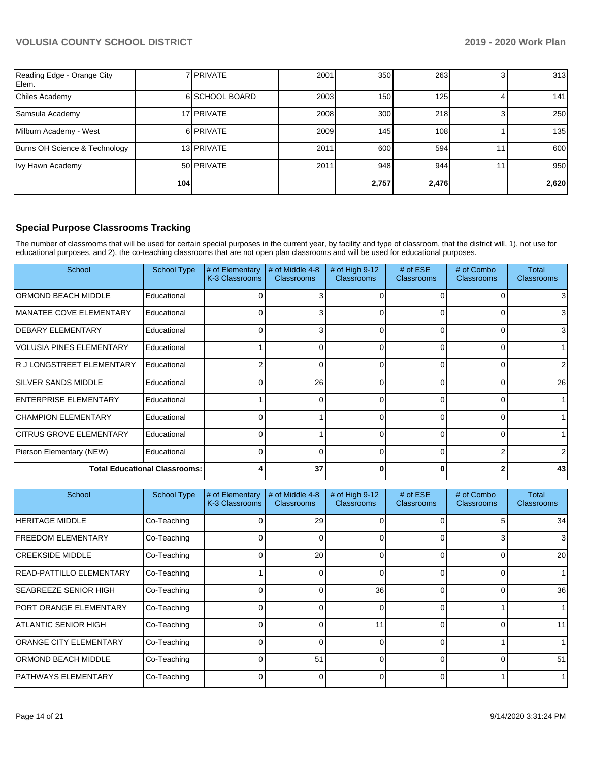| Reading Edge - Orange City<br>Elem. |     | 7 <b>PRIVATE</b> | 2001 | 350   | 263              | 313   |
|-------------------------------------|-----|------------------|------|-------|------------------|-------|
| Chiles Academy                      |     | 6 SCHOOL BOARD   | 2003 | 150   | 125              | 141   |
| Samsula Academy                     |     | 17 PRIVATE       | 2008 | 300   | 218              | 250   |
| Milburn Academy - West              |     | 6 PRIVATE        | 2009 | 145   | 108 <sub>1</sub> | 135   |
| Burns OH Science & Technology       |     | 13 PRIVATE       | 2011 | 600   | 594              | 600   |
| Ivy Hawn Academy                    |     | 50 PRIVATE       | 2011 | 948   | 944              | 950   |
|                                     | 104 |                  |      | 2,757 | 2,476            | 2,620 |

## **Special Purpose Classrooms Tracking**

The number of classrooms that will be used for certain special purposes in the current year, by facility and type of classroom, that the district will, 1), not use for educational purposes, and 2), the co-teaching classrooms that are not open plan classrooms and will be used for educational purposes.

| School                               | <b>School Type</b> | # of Elementary<br>K-3 Classrooms | # of Middle 4-8<br><b>Classrooms</b> | # of High $9-12$<br><b>Classrooms</b> | # of $ESE$<br><b>Classrooms</b> | # of Combo<br><b>Classrooms</b> | Total<br><b>Classrooms</b> |
|--------------------------------------|--------------------|-----------------------------------|--------------------------------------|---------------------------------------|---------------------------------|---------------------------------|----------------------------|
| ORMOND BEACH MIDDLE                  | Educational        |                                   |                                      |                                       |                                 |                                 |                            |
| MANATEE COVE ELEMENTARY              | Educational        |                                   |                                      |                                       | $\Omega$                        |                                 | 3                          |
| <b>DEBARY ELEMENTARY</b>             | Educational        |                                   |                                      |                                       | $\Omega$                        |                                 | 3                          |
| <b>VOLUSIA PINES ELEMENTARY</b>      | Educational        |                                   |                                      |                                       | $\Omega$                        |                                 |                            |
| R J LONGSTREET ELEMENTARY            | Educational        |                                   |                                      |                                       | $\Omega$                        |                                 | 2                          |
| <b>SILVER SANDS MIDDLE</b>           | Educational        |                                   | 26                                   | <sup>0</sup>                          | $\Omega$                        |                                 | 26                         |
| ENTERPRISE ELEMENTARY                | Educational        |                                   |                                      |                                       | $\Omega$                        |                                 |                            |
| <b>CHAMPION ELEMENTARY</b>           | Educational        |                                   |                                      |                                       | $\Omega$                        |                                 |                            |
| <b>CITRUS GROVE ELEMENTARY</b>       | Educational        |                                   |                                      |                                       | $\Omega$                        |                                 |                            |
| Pierson Elementary (NEW)             | Educational        | 0                                 |                                      |                                       | $\Omega$                        |                                 | 2                          |
| <b>Total Educational Classrooms:</b> |                    |                                   | 37                                   |                                       | O                               |                                 | 43                         |

| School                        | <b>School Type</b> | # of Elementary<br>K-3 Classrooms | # of Middle 4-8<br><b>Classrooms</b> | # of High 9-12<br>Classrooms | # of $ESE$<br><b>Classrooms</b> | # of Combo<br><b>Classrooms</b> | Total<br><b>Classrooms</b> |
|-------------------------------|--------------------|-----------------------------------|--------------------------------------|------------------------------|---------------------------------|---------------------------------|----------------------------|
| <b>HERITAGE MIDDLE</b>        | Co-Teaching        |                                   | 29                                   |                              |                                 |                                 | 34                         |
| <b>FREEDOM ELEMENTARY</b>     | Co-Teaching        |                                   | $\Omega$                             |                              | $\Omega$                        |                                 | 3                          |
| <b>CREEKSIDE MIDDLE</b>       | Co-Teaching        |                                   | 20                                   | 0                            | $\Omega$                        |                                 | 20                         |
| READ-PATTILLO ELEMENTARY      | Co-Teaching        |                                   | $\Omega$                             | 0                            | $\Omega$                        |                                 |                            |
| <b>SEABREEZE SENIOR HIGH</b>  | Co-Teaching        |                                   | U                                    | 36                           | $\Omega$                        | ŋ                               | 36                         |
| PORT ORANGE ELEMENTARY        | Co-Teaching        |                                   |                                      |                              | $\Omega$                        |                                 |                            |
| <b>ATLANTIC SENIOR HIGH</b>   | Co-Teaching        |                                   |                                      | 11                           | $\Omega$                        |                                 | 11                         |
| <b>ORANGE CITY ELEMENTARY</b> | Co-Teaching        |                                   | 0                                    | $\Omega$                     | $\Omega$                        |                                 |                            |
| <b>ORMOND BEACH MIDDLE</b>    | Co-Teaching        |                                   | 51                                   | O                            | $\Omega$                        | ი                               | 51                         |
| PATHWAYS ELEMENTARY           | Co-Teaching        |                                   | $\Omega$                             | <sup>0</sup>                 | $\Omega$                        |                                 |                            |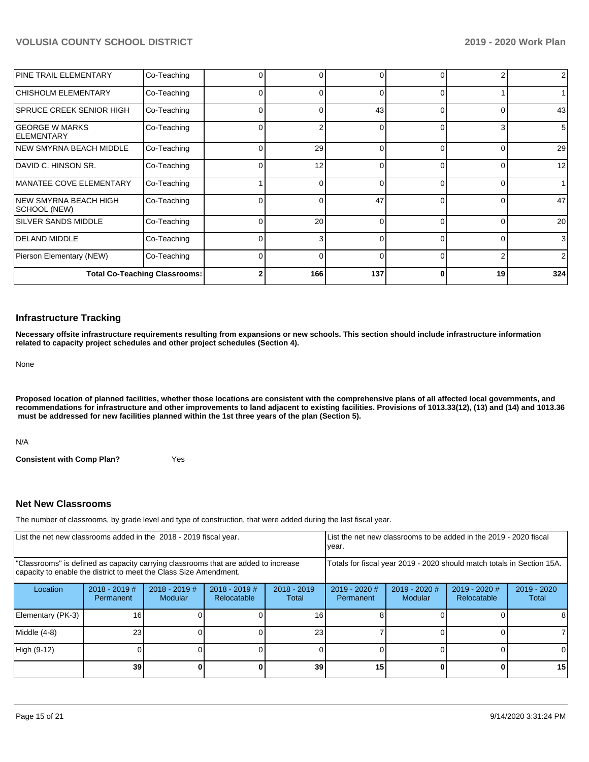| <b>PINE TRAIL ELEMENTARY</b>               | Co-Teaching |          |     | 0        | $\Omega$ |    | 2   |
|--------------------------------------------|-------------|----------|-----|----------|----------|----|-----|
| CHISHOLM ELEMENTARY                        | Co-Teaching |          |     | 0        | $\Omega$ |    |     |
| SPRUCE CREEK SENIOR HIGH                   | Co-Teaching |          |     | 43       | $\Omega$ |    | 43  |
| <b>GEORGE W MARKS</b><br><b>ELEMENTARY</b> | Co-Teaching |          |     | 0        | $\Omega$ | 3  | 5   |
| INEW SMYRNA BEACH MIDDLE                   | Co-Teaching | $\Omega$ | 29  | $\Omega$ | $\Omega$ |    | 29  |
| DAVID C. HINSON SR.                        | Co-Teaching | 0        | 12  | $\Omega$ | $\Omega$ |    | 12  |
| MANATEE COVE ELEMENTARY                    | Co-Teaching |          |     | $\Omega$ | $\Omega$ | 0  | 1   |
| INEW SMYRNA BEACH HIGH<br>SCHOOL (NEW)     | Co-Teaching | 0        |     | 47       | $\Omega$ |    | 47  |
| <b>SILVER SANDS MIDDLE</b>                 | Co-Teaching |          | 20  | $\Omega$ | $\Omega$ |    | 20  |
| <b>DELAND MIDDLE</b>                       | Co-Teaching |          |     | $\Omega$ | $\Omega$ |    | 3   |
| Pierson Elementary (NEW)                   | Co-Teaching |          |     | $\Omega$ | $\Omega$ | 2  | 2   |
| <b>Total Co-Teaching Classrooms:</b>       |             |          | 166 | 137      | C        | 19 | 324 |

#### **Infrastructure Tracking**

**Necessary offsite infrastructure requirements resulting from expansions or new schools. This section should include infrastructure information related to capacity project schedules and other project schedules (Section 4).** 

None

**Proposed location of planned facilities, whether those locations are consistent with the comprehensive plans of all affected local governments, and recommendations for infrastructure and other improvements to land adjacent to existing facilities. Provisions of 1013.33(12), (13) and (14) and 1013.36 must be addressed for new facilities planned within the 1st three years of the plan (Section 5).** 

N/A

**Consistent with Comp Plan?** Yes

## **Net New Classrooms**

The number of classrooms, by grade level and type of construction, that were added during the last fiscal year.

| List the net new classrooms added in the 2018 - 2019 fiscal year.                                                                                       |                              |                            |                                | year.                  |                                                                        | List the net new classrooms to be added in the 2019 - 2020 fiscal |                                |                      |
|---------------------------------------------------------------------------------------------------------------------------------------------------------|------------------------------|----------------------------|--------------------------------|------------------------|------------------------------------------------------------------------|-------------------------------------------------------------------|--------------------------------|----------------------|
| "Classrooms" is defined as capacity carrying classrooms that are added to increase<br>capacity to enable the district to meet the Class Size Amendment. |                              |                            |                                |                        | Totals for fiscal year 2019 - 2020 should match totals in Section 15A. |                                                                   |                                |                      |
| Location                                                                                                                                                | $2018 - 2019$ #<br>Permanent | $2018 - 2019$ #<br>Modular | $2018 - 2019$ #<br>Relocatable | $2018 - 2019$<br>Total | $2019 - 2020$ #<br>Permanent                                           | 2019 - 2020 #<br>Modular                                          | $2019 - 2020$ #<br>Relocatable | 2019 - 2020<br>Total |
| Elementary (PK-3)                                                                                                                                       | 16                           |                            |                                | 16                     |                                                                        |                                                                   |                                |                      |
| Middle (4-8)                                                                                                                                            | 23                           |                            |                                | 23                     |                                                                        |                                                                   |                                |                      |
| High (9-12)                                                                                                                                             |                              |                            |                                |                        |                                                                        |                                                                   |                                |                      |
|                                                                                                                                                         | 39                           |                            |                                | 39                     | 15                                                                     |                                                                   |                                | 15 <sub>l</sub>      |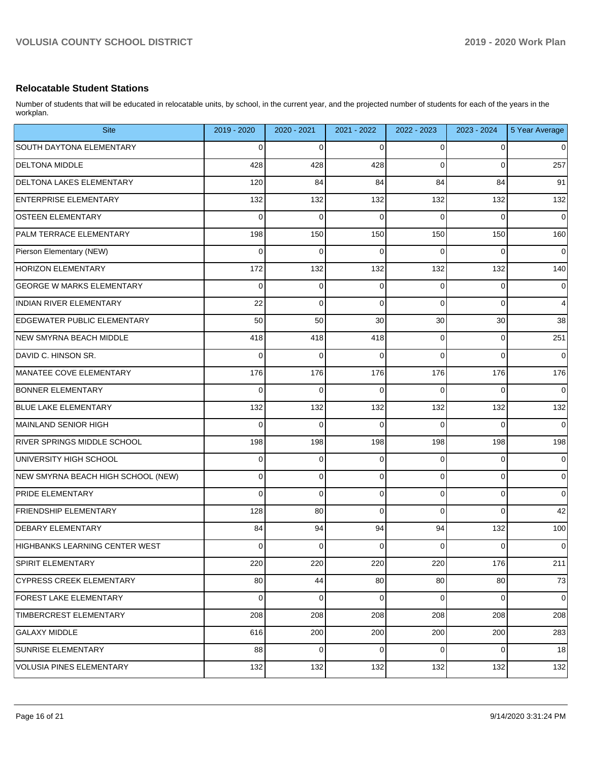## **Relocatable Student Stations**

Number of students that will be educated in relocatable units, by school, in the current year, and the projected number of students for each of the years in the workplan.

| <b>Site</b>                           | 2019 - 2020 | 2020 - 2021    | 2021 - 2022 | 2022 - 2023 | 2023 - 2024 | 5 Year Average |
|---------------------------------------|-------------|----------------|-------------|-------------|-------------|----------------|
| <b>SOUTH DAYTONA ELEMENTARY</b>       | 0           | $\mathbf 0$    | $\Omega$    | 0           | 0           | 0              |
| <b>DELTONA MIDDLE</b>                 | 428         | 428            | 428         | $\Omega$    | $\Omega$    | 257            |
| <b>DELTONA LAKES ELEMENTARY</b>       | 120         | 84             | 84          | 84          | 84          | 91             |
| <b>ENTERPRISE ELEMENTARY</b>          | 132         | 132            | 132         | 132         | 132         | 132            |
| <b>OSTEEN ELEMENTARY</b>              | $\Omega$    | $\mathbf 0$    | $\Omega$    | $\Omega$    | $\Omega$    | $\mathbf 0$    |
| <b>PALM TERRACE ELEMENTARY</b>        | 198         | 150            | 150         | 150         | 150         | 160            |
| Pierson Elementary (NEW)              | $\Omega$    | $\mathbf 0$    | $\Omega$    | $\Omega$    | $\Omega$    | $\mathbf 0$    |
| HORIZON ELEMENTARY                    | 172         | 132            | 132         | 132         | 132         | 140            |
| <b>GEORGE W MARKS ELEMENTARY</b>      | $\Omega$    | $\mathbf 0$    | $\mathbf 0$ | $\Omega$    | 0           | $\mathbf 0$    |
| <b>INDIAN RIVER ELEMENTARY</b>        | 22          | $\mathbf 0$    | $\Omega$    | $\Omega$    | $\Omega$    | 4              |
| <b>EDGEWATER PUBLIC ELEMENTARY</b>    | 50          | 50             | 30          | 30          | 30          | 38             |
| NEW SMYRNA BEACH MIDDLE               | 418         | 418            | 418         | $\mathbf 0$ | 0           | 251            |
| DAVID C. HINSON SR.                   | $\Omega$    | $\mathbf 0$    | $\Omega$    | $\Omega$    | $\Omega$    | $\mathbf 0$    |
| MANATEE COVE ELEMENTARY               | 176         | 176            | 176         | 176         | 176         | 176            |
| <b>BONNER ELEMENTARY</b>              | $\Omega$    | $\Omega$       | $\Omega$    | $\Omega$    | $\Omega$    | $\Omega$       |
| <b>BLUE LAKE ELEMENTARY</b>           | 132         | 132            | 132         | 132         | 132         | 132            |
| MAINLAND SENIOR HIGH                  | $\Omega$    | $\Omega$       | $\Omega$    | $\Omega$    | $\Omega$    | $\Omega$       |
| <b>RIVER SPRINGS MIDDLE SCHOOL</b>    | 198         | 198            | 198         | 198         | 198         | 198            |
| UNIVERSITY HIGH SCHOOL                | $\Omega$    | $\mathbf 0$    | $\mathbf 0$ | 0           | 0           | $\mathbf 0$    |
| NEW SMYRNA BEACH HIGH SCHOOL (NEW)    | $\Omega$    | $\mathbf 0$    | $\mathbf 0$ | $\mathbf 0$ | 0           | $\mathbf 0$    |
| <b>PRIDE ELEMENTARY</b>               | $\Omega$    | $\mathbf{0}$   | $\mathbf 0$ | $\mathbf 0$ | 0           | $\mathbf 0$    |
| <b>FRIENDSHIP ELEMENTARY</b>          | 128         | 80             | $\Omega$    | $\Omega$    | $\Omega$    | 42             |
| <b>DEBARY ELEMENTARY</b>              | 84          | 94             | 94          | 94          | 132         | 100            |
| <b>HIGHBANKS LEARNING CENTER WEST</b> | $\mathbf 0$ | $\overline{0}$ | $\mathbf 0$ | 0           | 0           | $\mathbf 0$    |
| SPIRIT ELEMENTARY                     | 220         | 220            | 220         | 220         | 176         | 211            |
| <b>CYPRESS CREEK ELEMENTARY</b>       | 80          | 44             | 80          | 80          | 80          | 73             |
| <b>FOREST LAKE ELEMENTARY</b>         | $\mathbf 0$ | $\mathbf{0}$   | $\mathbf 0$ | $\mathbf 0$ | $\mathbf 0$ | $\pmb{0}$      |
| TIMBERCREST ELEMENTARY                | 208         | 208            | 208         | 208         | 208         | 208            |
| GALAXY MIDDLE                         | 616         | 200            | 200         | 200         | 200         | 283            |
| SUNRISE ELEMENTARY                    | 88          | $\overline{0}$ | $\mathbf 0$ | 0           | 0           | 18             |
| <b>VOLUSIA PINES ELEMENTARY</b>       | 132         | 132            | 132         | 132         | 132         | 132            |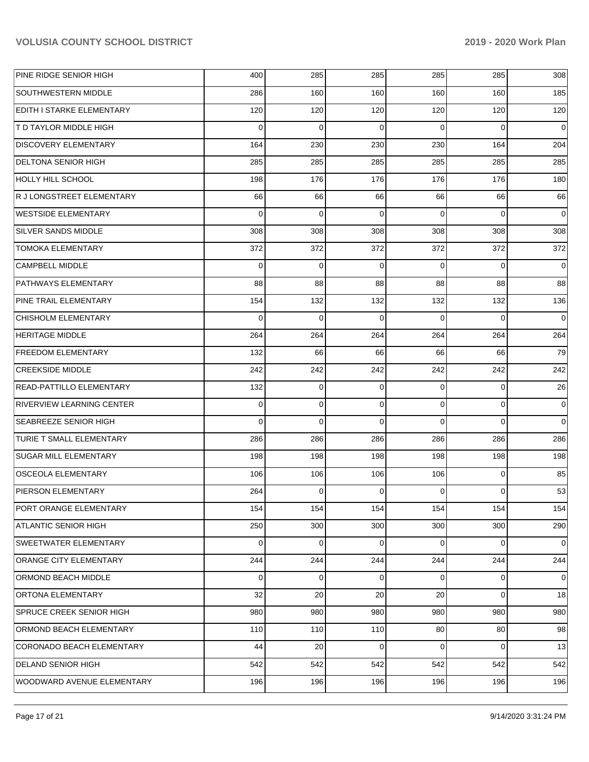| PINE RIDGE SENIOR HIGH           | 400         | 285      | 285      | 285      | 285         | 308      |
|----------------------------------|-------------|----------|----------|----------|-------------|----------|
| <b>SOUTHWESTERN MIDDLE</b>       | 286         | 160      | 160      | 160      | 160         | 185      |
| EDITH I STARKE ELEMENTARY        | 120         | 120      | 120      | 120      | 120         | 120      |
| <b>T D TAYLOR MIDDLE HIGH</b>    | $\Omega$    | $\Omega$ | $\Omega$ | $\Omega$ | $\Omega$    | 0        |
| <b>DISCOVERY ELEMENTARY</b>      | 164         | 230      | 230      | 230      | 164         | 204      |
| <b>DELTONA SENIOR HIGH</b>       | 285         | 285      | 285      | 285      | 285         | 285      |
| <b>HOLLY HILL SCHOOL</b>         | 198         | 176      | 176      | 176      | 176         | 180      |
| R J LONGSTREET ELEMENTARY        | 66          | 66       | 66       | 66       | 66          | 66       |
| <b>WESTSIDE ELEMENTARY</b>       | $\Omega$    | $\Omega$ | $\Omega$ | $\Omega$ | $\Omega$    | 0        |
| <b>SILVER SANDS MIDDLE</b>       | 308         | 308      | 308      | 308      | 308         | 308      |
| <b>TOMOKA ELEMENTARY</b>         | 372         | 372      | 372      | 372      | 372         | 372      |
| <b>CAMPBELL MIDDLE</b>           | $\Omega$    | $\Omega$ | $\Omega$ | $\Omega$ | $\Omega$    | 0        |
| <b>PATHWAYS ELEMENTARY</b>       | 88          | 88       | 88       | 88       | 88          | 88       |
| PINE TRAIL ELEMENTARY            | 154         | 132      | 132      | 132      | 132         | 136      |
| <b>CHISHOLM ELEMENTARY</b>       | $\Omega$    | $\Omega$ | $\Omega$ | $\Omega$ | $\Omega$    | $\Omega$ |
| <b>HERITAGE MIDDLE</b>           | 264         | 264      | 264      | 264      | 264         | 264      |
| <b>FREEDOM ELEMENTARY</b>        | 132         | 66       | 66       | 66       | 66          | 79       |
| <b>CREEKSIDE MIDDLE</b>          | 242         | 242      | 242      | 242      | 242         | 242      |
| <b>READ-PATTILLO ELEMENTARY</b>  | 132         | 0        | $\Omega$ | $\Omega$ | 0           | 26       |
| <b>RIVERVIEW LEARNING CENTER</b> | $\Omega$    | 0        | $\Omega$ | $\Omega$ | $\mathbf 0$ | 0        |
| <b>SEABREEZE SENIOR HIGH</b>     | $\Omega$    | $\Omega$ | $\Omega$ | $\Omega$ | $\Omega$    | $\Omega$ |
| <b>TURIE T SMALL ELEMENTARY</b>  | 286         | 286      | 286      | 286      | 286         | 286      |
| <b>SUGAR MILL ELEMENTARY</b>     | 198         | 198      | 198      | 198      | 198         | 198      |
| <b>OSCEOLA ELEMENTARY</b>        | 106         | 106      | 106      | 106      | $\mathbf 0$ | 85       |
| <b>PIERSON ELEMENTARY</b>        | 264         | 0        | $\Omega$ | 0        | $\Omega$    | 53       |
| PORT ORANGE ELEMENTARY           | 154         | 154      | 154      | 154      | 154         | 154      |
| <b>ATLANTIC SENIOR HIGH</b>      | 250         | 300      | 300      | 300      | 300         | 290      |
| <b>SWEETWATER ELEMENTARY</b>     | $\mathbf 0$ | 0        | $\Omega$ | $\Omega$ | 0           | 0        |
| <b>ORANGE CITY ELEMENTARY</b>    | 244         | 244      | 244      | 244      | 244         | 244      |
| <b>ORMOND BEACH MIDDLE</b>       | $\mathbf 0$ | 0        | $\Omega$ | 0        | 0           | 0        |
| <b>ORTONA ELEMENTARY</b>         | 32          | 20       | 20       | 20       | $\mathbf 0$ | 18       |
| <b>SPRUCE CREEK SENIOR HIGH</b>  | 980         | 980      | 980      | 980      | 980         | 980      |
| ORMOND BEACH ELEMENTARY          | 110         | 110      | 110      | 80       | 80          | 98       |
| CORONADO BEACH ELEMENTARY        | 44          | 20       | $\Omega$ | $\Omega$ | 0           | 13       |
| <b>DELAND SENIOR HIGH</b>        | 542         | 542      | 542      | 542      | 542         | 542      |
| WOODWARD AVENUE ELEMENTARY       | 196         | 196      | 196      | 196      | 196         | 196      |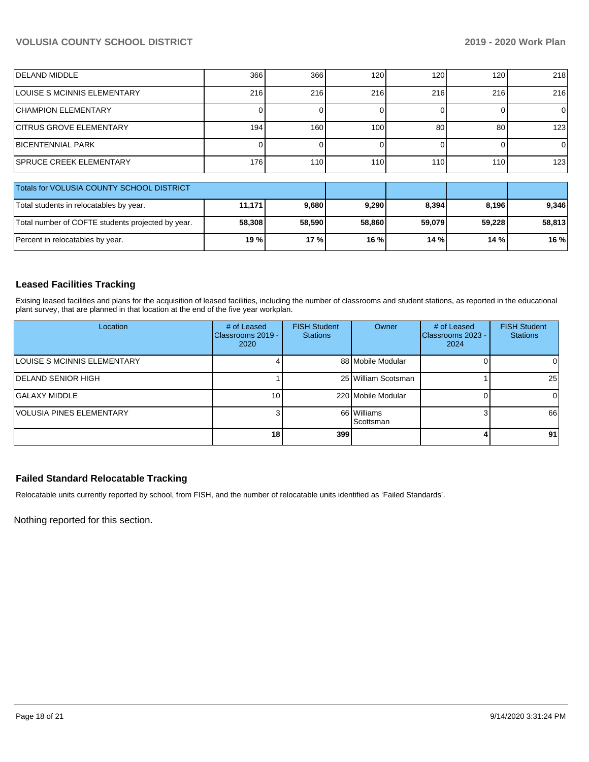| <b>DELAND MIDDLE</b>                              | 366    | 366              | 120    | 120    | 120    | 218    |
|---------------------------------------------------|--------|------------------|--------|--------|--------|--------|
| LOUISE S MCINNIS ELEMENTARY                       | 216    | 216              | 216    | 216    | 216    | 216    |
| <b>CHAMPION ELEMENTARY</b>                        |        |                  |        |        |        | 0      |
| <b>CITRUS GROVE ELEMENTARY</b>                    | 194    | 160              | 100    | 80     | 80     | 123    |
| <b>BICENTENNIAL PARK</b>                          |        |                  | 0      |        |        | 0      |
| <b>SPRUCE CREEK ELEMENTARY</b>                    | 176    | 110 <sup>1</sup> | 110    | 110    | 110    | 123    |
| Totals for VOLUSIA COUNTY SCHOOL DISTRICT         |        |                  |        |        |        |        |
| Total students in relocatables by year.           | 11,171 | 9,680            | 9,290  | 8,394  | 8,196  | 9,346  |
| Total number of COFTE students projected by year. | 58,308 | 58,590           | 58,860 | 59,079 | 59,228 | 58,813 |
| Percent in relocatables by year.                  | 19 %   | 17 %             | 16 %   | 14 %   | 14 %   | 16 %   |

## **Leased Facilities Tracking**

Exising leased facilities and plans for the acquisition of leased facilities, including the number of classrooms and student stations, as reported in the educational plant survey, that are planned in that location at the end of the five year workplan.

| Location                    | # of Leased<br>Classrooms 2019 -<br>2020 | <b>FISH Student</b><br><b>Stations</b> | Owner                    | # of Leased<br>Classrooms 2023 -<br>2024 | <b>FISH Student</b><br><b>Stations</b> |
|-----------------------------|------------------------------------------|----------------------------------------|--------------------------|------------------------------------------|----------------------------------------|
| LOUISE S MCINNIS ELEMENTARY |                                          |                                        | 88 Mobile Modular        |                                          | 0                                      |
| <b>DELAND SENIOR HIGH</b>   |                                          |                                        | 25 William Scotsman      |                                          | 25                                     |
| GALAXY MIDDLE               | 10 <sup>1</sup>                          |                                        | 220 Mobile Modular       |                                          |                                        |
| VOLUSIA PINES ELEMENTARY    |                                          |                                        | 66 Williams<br>Scottsman |                                          | 66                                     |
|                             | 18 <sub>1</sub>                          | 399                                    |                          | 4                                        | 91                                     |

#### **Failed Standard Relocatable Tracking**

Relocatable units currently reported by school, from FISH, and the number of relocatable units identified as 'Failed Standards'.

Nothing reported for this section.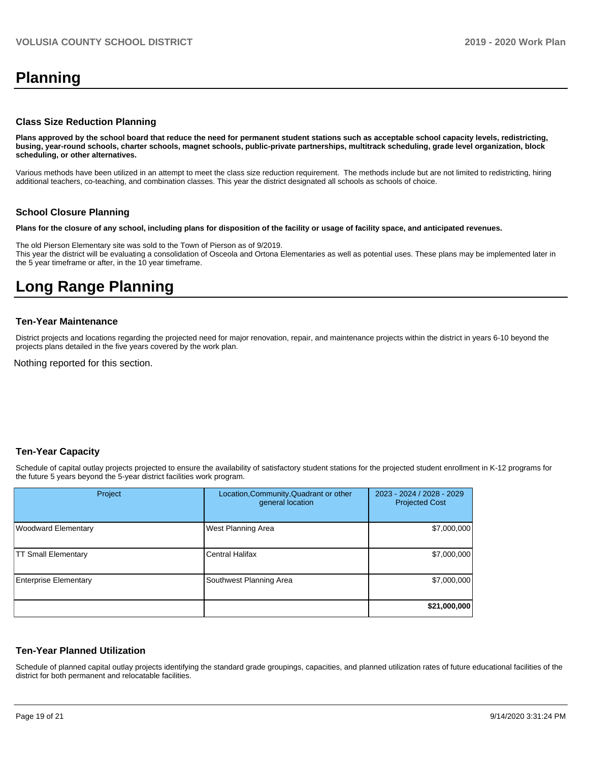# **Planning**

#### **Class Size Reduction Planning**

**Plans approved by the school board that reduce the need for permanent student stations such as acceptable school capacity levels, redistricting, busing, year-round schools, charter schools, magnet schools, public-private partnerships, multitrack scheduling, grade level organization, block scheduling, or other alternatives.**

Various methods have been utilized in an attempt to meet the class size reduction requirement. The methods include but are not limited to redistricting, hiring additional teachers, co-teaching, and combination classes. This year the district designated all schools as schools of choice.

#### **School Closure Planning**

**Plans for the closure of any school, including plans for disposition of the facility or usage of facility space, and anticipated revenues.** 

The old Pierson Elementary site was sold to the Town of Pierson as of 9/2019. This year the district will be evaluating a consolidation of Osceola and Ortona Elementaries as well as potential uses. These plans may be implemented later in the 5 year timeframe or after, in the 10 year timeframe.

# **Long Range Planning**

#### **Ten-Year Maintenance**

District projects and locations regarding the projected need for major renovation, repair, and maintenance projects within the district in years 6-10 beyond the projects plans detailed in the five years covered by the work plan.

Nothing reported for this section.

#### **Ten-Year Capacity**

Schedule of capital outlay projects projected to ensure the availability of satisfactory student stations for the projected student enrollment in K-12 programs for the future 5 years beyond the 5-year district facilities work program.

| Project                      | Location, Community, Quadrant or other<br>general location | 2023 - 2024 / 2028 - 2029<br><b>Projected Cost</b> |
|------------------------------|------------------------------------------------------------|----------------------------------------------------|
| Woodward Elementary          | <b>West Planning Area</b>                                  | \$7,000,000                                        |
| <b>TT Small Elementary</b>   | <b>Central Halifax</b>                                     | \$7,000,000                                        |
| <b>Enterprise Elementary</b> | Southwest Planning Area                                    | \$7,000,000                                        |
|                              |                                                            | \$21,000,000                                       |

#### **Ten-Year Planned Utilization**

Schedule of planned capital outlay projects identifying the standard grade groupings, capacities, and planned utilization rates of future educational facilities of the district for both permanent and relocatable facilities.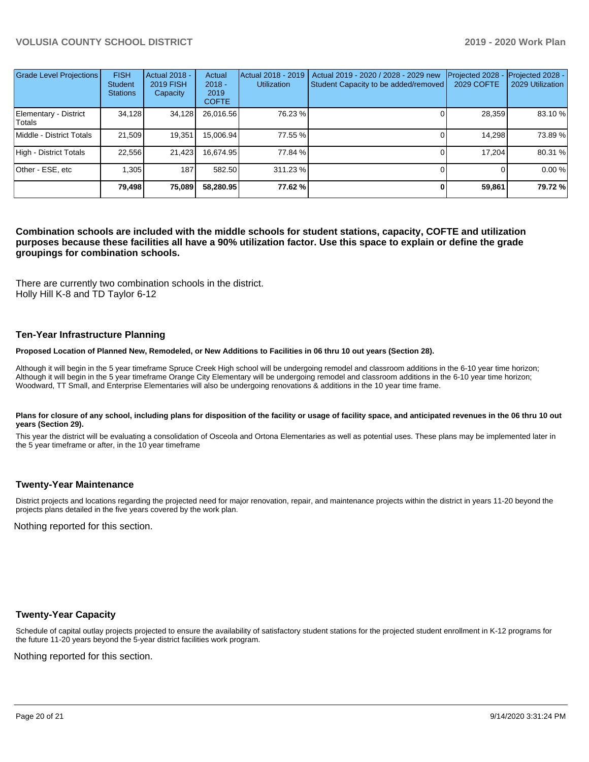| <b>Grade Level Projections</b>  | <b>FISH</b><br><b>Student</b><br><b>Stations</b> | <b>Actual 2018 -</b><br><b>2019 FISH</b><br>Capacity | Actual<br>$2018 -$<br>2019<br><b>COFTE</b> | Actual 2018 - 2019<br><b>Utilization</b> | Actual 2019 - 2020 / 2028 - 2029 new<br>Student Capacity to be added/removed | Projected 2028<br><b>2029 COFTE</b> | Projected 2028 -<br>2029 Utilization |
|---------------------------------|--------------------------------------------------|------------------------------------------------------|--------------------------------------------|------------------------------------------|------------------------------------------------------------------------------|-------------------------------------|--------------------------------------|
| Elementary - District<br>Totals | 34,128                                           | 34,128                                               | 26,016.56                                  | 76.23 %                                  |                                                                              | 28,359                              | 83.10 %                              |
| Middle - District Totals        | 21.509                                           | 19.351                                               | 15,006.94                                  | 77.55 %                                  |                                                                              | 14.298                              | 73.89 %                              |
| High - District Totals          | 22.556                                           | 21,423                                               | 16,674.95                                  | 77.84 %                                  |                                                                              | 17.204                              | 80.31 %                              |
| Other - ESE, etc                | 1.305                                            | 187                                                  | 582.50                                     | 311.23%                                  |                                                                              |                                     | 0.00 %                               |
|                                 | 79,498                                           | 75,089                                               | 58,280.95                                  | 77.62 %                                  |                                                                              | 59,861                              | 79.72 %                              |

#### **Combination schools are included with the middle schools for student stations, capacity, COFTE and utilization purposes because these facilities all have a 90% utilization factor. Use this space to explain or define the grade groupings for combination schools.**

There are currently two combination schools in the district. Holly Hill K-8 and TD Taylor 6-12

#### **Ten-Year Infrastructure Planning**

#### **Proposed Location of Planned New, Remodeled, or New Additions to Facilities in 06 thru 10 out years (Section 28).**

Although it will begin in the 5 year timeframe Spruce Creek High school will be undergoing remodel and classroom additions in the 6-10 year time horizon; Although it will begin in the 5 year timeframe Orange City Elementary will be undergoing remodel and classroom additions in the 6-10 year time horizon; Woodward, TT Small, and Enterprise Elementaries will also be undergoing renovations & additions in the 10 year time frame.

#### Plans for closure of any school, including plans for disposition of the facility or usage of facility space, and anticipated revenues in the 06 thru 10 out **years (Section 29).**

This year the district will be evaluating a consolidation of Osceola and Ortona Elementaries as well as potential uses. These plans may be implemented later in the 5 year timeframe or after, in the 10 year timeframe

#### **Twenty-Year Maintenance**

District projects and locations regarding the projected need for major renovation, repair, and maintenance projects within the district in years 11-20 beyond the projects plans detailed in the five years covered by the work plan.

Nothing reported for this section.

#### **Twenty-Year Capacity**

Schedule of capital outlay projects projected to ensure the availability of satisfactory student stations for the projected student enrollment in K-12 programs for the future 11-20 years beyond the 5-year district facilities work program.

Nothing reported for this section.